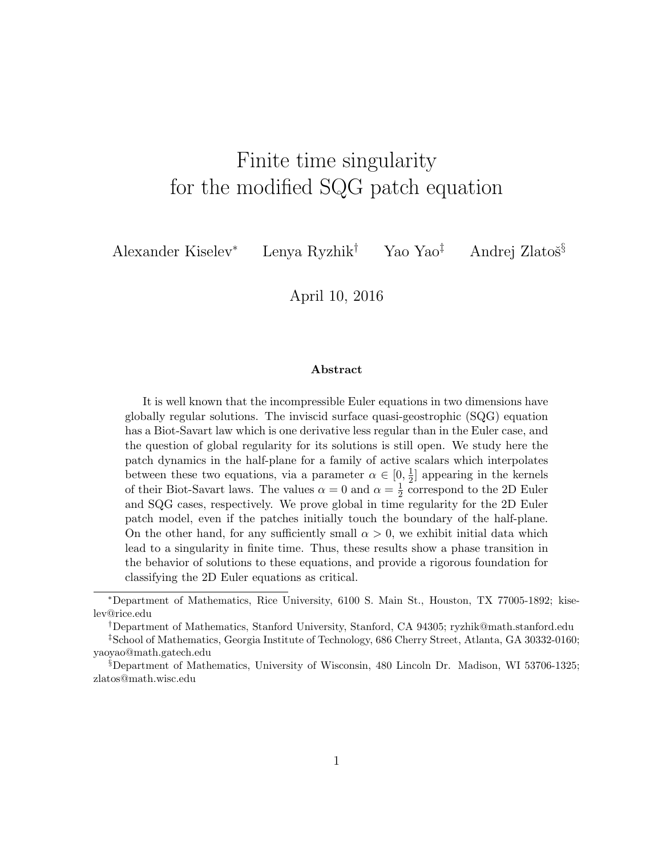# Finite time singularity for the modified SQG patch equation

Alexander Kiselev<sup>∗</sup> Lenya Ryzhik<sup>†</sup> Yao Yao<sup>‡</sup> Andrej Zlatoš<sup>§</sup>

April 10, 2016

#### Abstract

It is well known that the incompressible Euler equations in two dimensions have globally regular solutions. The inviscid surface quasi-geostrophic (SQG) equation has a Biot-Savart law which is one derivative less regular than in the Euler case, and the question of global regularity for its solutions is still open. We study here the patch dynamics in the half-plane for a family of active scalars which interpolates between these two equations, via a parameter  $\alpha \in [0, \frac{1}{2}]$  $\frac{1}{2}$  appearing in the kernels of their Biot-Savart laws. The values  $\alpha = 0$  and  $\alpha = \frac{1}{2}$  $\frac{1}{2}$  correspond to the 2D Euler and SQG cases, respectively. We prove global in time regularity for the 2D Euler patch model, even if the patches initially touch the boundary of the half-plane. On the other hand, for any sufficiently small  $\alpha > 0$ , we exhibit initial data which lead to a singularity in finite time. Thus, these results show a phase transition in the behavior of solutions to these equations, and provide a rigorous foundation for classifying the 2D Euler equations as critical.

<sup>∗</sup>Department of Mathematics, Rice University, 6100 S. Main St., Houston, TX 77005-1892; kiselev@rice.edu

<sup>†</sup>Department of Mathematics, Stanford University, Stanford, CA 94305; ryzhik@math.stanford.edu ‡School of Mathematics, Georgia Institute of Technology, 686 Cherry Street, Atlanta, GA 30332-0160; yaoyao@math.gatech.edu

<sup>§</sup>Department of Mathematics, University of Wisconsin, 480 Lincoln Dr. Madison, WI 53706-1325; zlatos@math.wisc.edu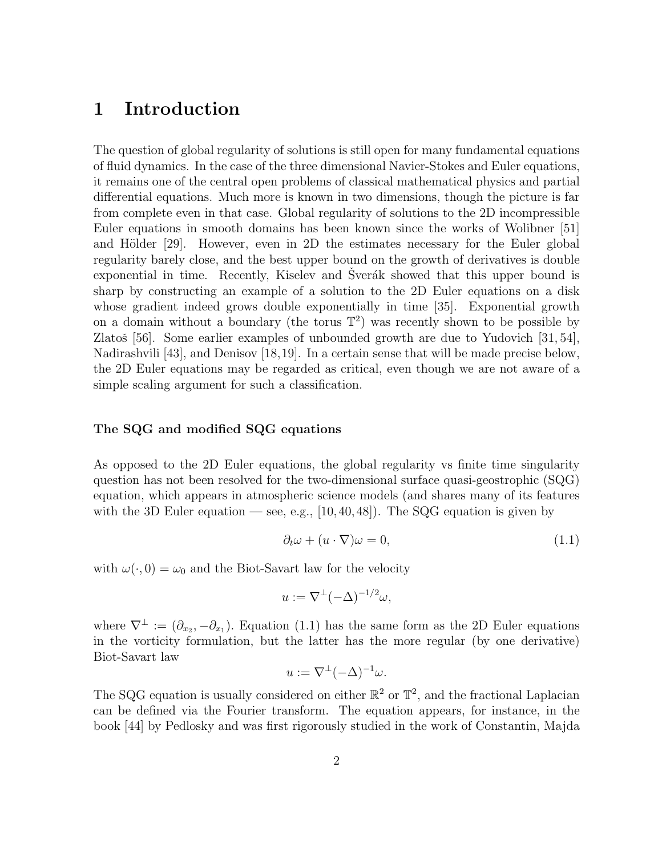# 1 Introduction

The question of global regularity of solutions is still open for many fundamental equations of fluid dynamics. In the case of the three dimensional Navier-Stokes and Euler equations, it remains one of the central open problems of classical mathematical physics and partial differential equations. Much more is known in two dimensions, though the picture is far from complete even in that case. Global regularity of solutions to the 2D incompressible Euler equations in smooth domains has been known since the works of Wolibner [51] and Hölder  $[29]$ . However, even in 2D the estimates necessary for the Euler global regularity barely close, and the best upper bound on the growth of derivatives is double exponential in time. Recently, Kiselev and Sverák showed that this upper bound is sharp by constructing an example of a solution to the 2D Euler equations on a disk whose gradient indeed grows double exponentially in time [35]. Exponential growth on a domain without a boundary (the torus  $\mathbb{T}^2$ ) was recently shown to be possible by Zlatoš [56]. Some earlier examples of unbounded growth are due to Yudovich  $[31, 54]$ , Nadirashvili [43], and Denisov [18,19]. In a certain sense that will be made precise below, the 2D Euler equations may be regarded as critical, even though we are not aware of a simple scaling argument for such a classification.

#### The SQG and modified SQG equations

As opposed to the 2D Euler equations, the global regularity vs finite time singularity question has not been resolved for the two-dimensional surface quasi-geostrophic (SQG) equation, which appears in atmospheric science models (and shares many of its features with the 3D Euler equation — see, e.g.,  $[10, 40, 48]$ . The SQG equation is given by

$$
\partial_t \omega + (u \cdot \nabla)\omega = 0,\tag{1.1}
$$

with  $\omega(\cdot, 0) = \omega_0$  and the Biot-Savart law for the velocity

$$
u := \nabla^{\perp}(-\Delta)^{-1/2}\omega,
$$

where  $\nabla^{\perp} := (\partial_{x_2}, -\partial_{x_1})$ . Equation (1.1) has the same form as the 2D Euler equations in the vorticity formulation, but the latter has the more regular (by one derivative) Biot-Savart law

$$
u := \nabla^{\perp}(-\Delta)^{-1}\omega.
$$

The SQG equation is usually considered on either  $\mathbb{R}^2$  or  $\mathbb{T}^2$ , and the fractional Laplacian can be defined via the Fourier transform. The equation appears, for instance, in the book [44] by Pedlosky and was first rigorously studied in the work of Constantin, Majda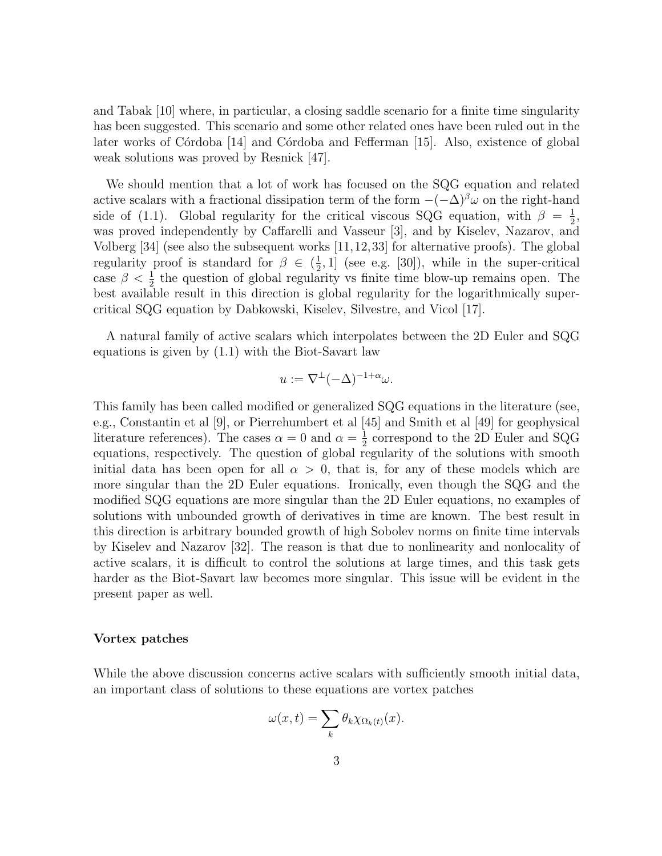and Tabak [10] where, in particular, a closing saddle scenario for a finite time singularity has been suggested. This scenario and some other related ones have been ruled out in the later works of Córdoba [14] and Córdoba and Fefferman [15]. Also, existence of global weak solutions was proved by Resnick [47].

We should mention that a lot of work has focused on the SQG equation and related active scalars with a fractional dissipation term of the form  $-(-\Delta)^{\beta}\omega$  on the right-hand side of (1.1). Global regularity for the critical viscous SQG equation, with  $\beta = \frac{1}{2}$  $\frac{1}{2}$ , was proved independently by Caffarelli and Vasseur [3], and by Kiselev, Nazarov, and Volberg [34] (see also the subsequent works [11,12,33] for alternative proofs). The global regularity proof is standard for  $\beta \in (\frac{1}{2})$  $(\frac{1}{2}, 1]$  (see e.g. [30]), while in the super-critical case  $\beta < \frac{1}{2}$  the question of global regularity vs finite time blow-up remains open. The best available result in this direction is global regularity for the logarithmically supercritical SQG equation by Dabkowski, Kiselev, Silvestre, and Vicol [17].

A natural family of active scalars which interpolates between the 2D Euler and SQG equations is given by (1.1) with the Biot-Savart law

$$
u := \nabla^{\perp} (-\Delta)^{-1+\alpha} \omega.
$$

This family has been called modified or generalized SQG equations in the literature (see, e.g., Constantin et al [9], or Pierrehumbert et al [45] and Smith et al [49] for geophysical literature references). The cases  $\alpha = 0$  and  $\alpha = \frac{1}{2}$  $\frac{1}{2}$  correspond to the 2D Euler and SQG equations, respectively. The question of global regularity of the solutions with smooth initial data has been open for all  $\alpha > 0$ , that is, for any of these models which are more singular than the 2D Euler equations. Ironically, even though the SQG and the modified SQG equations are more singular than the 2D Euler equations, no examples of solutions with unbounded growth of derivatives in time are known. The best result in this direction is arbitrary bounded growth of high Sobolev norms on finite time intervals by Kiselev and Nazarov [32]. The reason is that due to nonlinearity and nonlocality of active scalars, it is difficult to control the solutions at large times, and this task gets harder as the Biot-Savart law becomes more singular. This issue will be evident in the present paper as well.

#### Vortex patches

While the above discussion concerns active scalars with sufficiently smooth initial data, an important class of solutions to these equations are vortex patches

$$
\omega(x,t) = \sum_{k} \theta_k \chi_{\Omega_k(t)}(x).
$$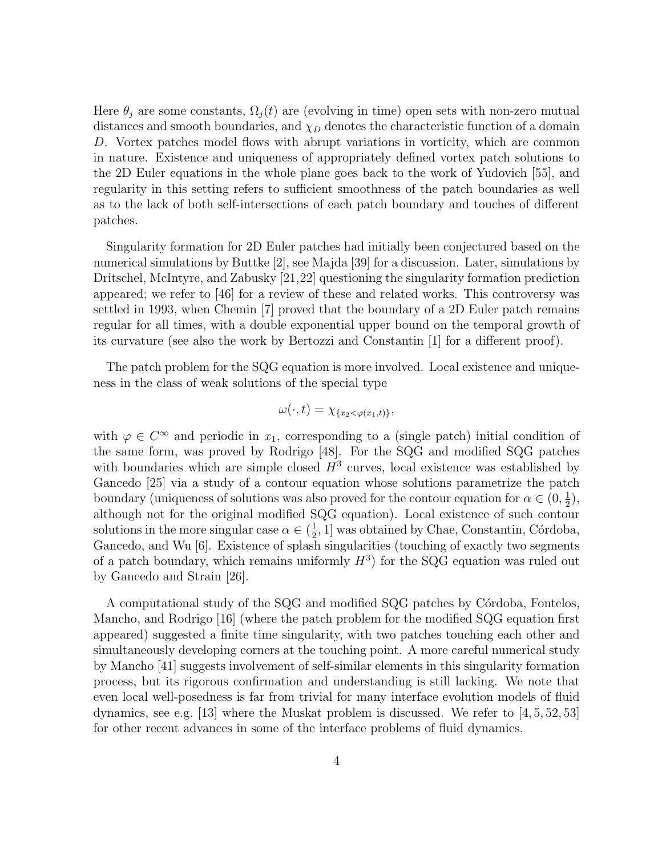Here  $\theta_j$  are some constants,  $\Omega_j(t)$  are (evolving in time) open sets with non-zero mutual distances and smooth boundaries, and  $\chi_D$  denotes the characteristic function of a domain D. Vortex patches model flows with abrupt variations in vorticity, which are common in nature. Existence and uniqueness of appropriately defined vortex patch solutions to the 2D Euler equations in the whole plane goes back to the work of Yudovich [55], and regularity in this setting refers to sufficient smoothness of the patch boundaries as well as to the lack of both self-intersections of each patch boundary and touches of different patches.

Singularity formation for 2D Euler patches had initially been conjectured based on the numerical simulations by Buttke [2], see Majda [39] for a discussion. Later, simulations by Dritschel, McIntyre, and Zabusky [21,22] questioning the singularity formation prediction appeared; we refer to [46] for a review of these and related works. This controversy was settled in 1993, when Chemin [7] proved that the boundary of a 2D Euler patch remains regular for all times, with a double exponential upper bound on the temporal growth of its curvature (see also the work by Bertozzi and Constantin [1] for a different proof).

The patch problem for the SQG equation is more involved. Local existence and uniqueness in the class of weak solutions of the special type

$$
\omega(\cdot,t)=\chi_{\{x_2<\varphi(x_1,t)\}},
$$

with  $\varphi \in C^{\infty}$  and periodic in  $x_1$ , corresponding to a (single patch) initial condition of the same form, was proved by Rodrigo [48]. For the SQG and modified SQG patches with boundaries which are simple closed  $H^3$  curves, local existence was established by Gancedo [25] via a study of a contour equation whose solutions parametrize the patch boundary (uniqueness of solutions was also proved for the contour equation for  $\alpha \in (0, \frac{1}{2})$  $(\frac{1}{2}),$ although not for the original modified SQG equation). Local existence of such contour solutions in the more singular case  $\alpha \in (\frac{1}{2})$  $\frac{1}{2}$ , 1] was obtained by Chae, Constantin, Córdoba, Gancedo, and Wu [6]. Existence of splash singularities (touching of exactly two segments of a patch boundary, which remains uniformly  $H^3$ ) for the SQG equation was ruled out by Gancedo and Strain [26].

A computational study of the SQG and modified SQG patches by Córdoba, Fontelos, Mancho, and Rodrigo [16] (where the patch problem for the modified SQG equation first appeared) suggested a finite time singularity, with two patches touching each other and simultaneously developing corners at the touching point. A more careful numerical study by Mancho [41] suggests involvement of self-similar elements in this singularity formation process, but its rigorous confirmation and understanding is still lacking. We note that even local well-posedness is far from trivial for many interface evolution models of fluid dynamics, see e.g. [13] where the Muskat problem is discussed. We refer to [4, 5, 52, 53] for other recent advances in some of the interface problems of fluid dynamics.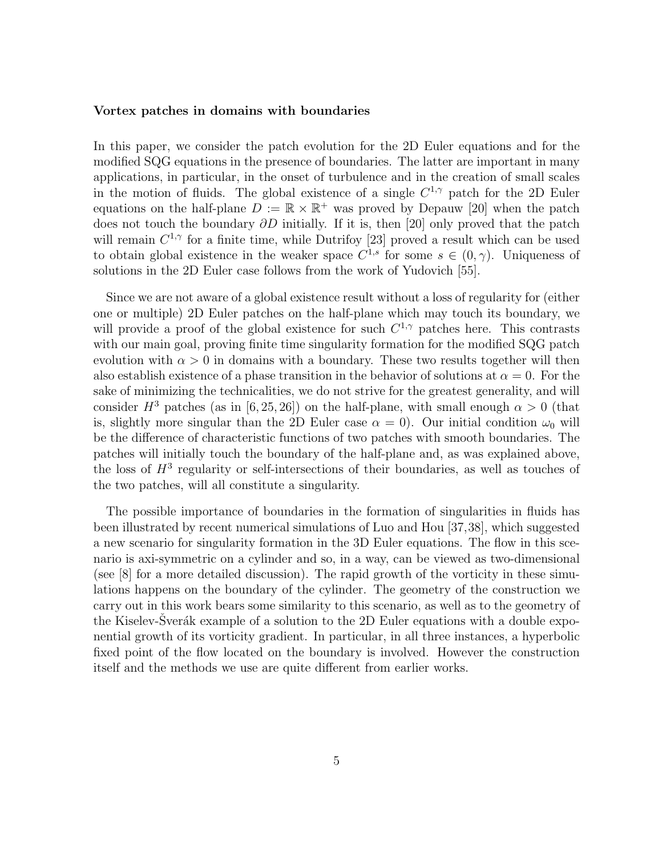#### Vortex patches in domains with boundaries

In this paper, we consider the patch evolution for the 2D Euler equations and for the modified SQG equations in the presence of boundaries. The latter are important in many applications, in particular, in the onset of turbulence and in the creation of small scales in the motion of fluids. The global existence of a single  $C^{1,\gamma}$  patch for the 2D Euler equations on the half-plane  $D := \mathbb{R} \times \mathbb{R}^+$  was proved by Depauw [20] when the patch does not touch the boundary ∂D initially. If it is, then [20] only proved that the patch will remain  $C^{1,\gamma}$  for a finite time, while Dutrifoy [23] proved a result which can be used to obtain global existence in the weaker space  $C^{1,s}$  for some  $s \in (0,\gamma)$ . Uniqueness of solutions in the 2D Euler case follows from the work of Yudovich [55].

Since we are not aware of a global existence result without a loss of regularity for (either one or multiple) 2D Euler patches on the half-plane which may touch its boundary, we will provide a proof of the global existence for such  $C^{1,\gamma}$  patches here. This contrasts with our main goal, proving finite time singularity formation for the modified SQG patch evolution with  $\alpha > 0$  in domains with a boundary. These two results together will then also establish existence of a phase transition in the behavior of solutions at  $\alpha = 0$ . For the sake of minimizing the technicalities, we do not strive for the greatest generality, and will consider  $H^3$  patches (as in [6, 25, 26]) on the half-plane, with small enough  $\alpha > 0$  (that is, slightly more singular than the 2D Euler case  $\alpha = 0$ ). Our initial condition  $\omega_0$  will be the difference of characteristic functions of two patches with smooth boundaries. The patches will initially touch the boundary of the half-plane and, as was explained above, the loss of  $H<sup>3</sup>$  regularity or self-intersections of their boundaries, as well as touches of the two patches, will all constitute a singularity.

The possible importance of boundaries in the formation of singularities in fluids has been illustrated by recent numerical simulations of Luo and Hou [37,38], which suggested a new scenario for singularity formation in the 3D Euler equations. The flow in this scenario is axi-symmetric on a cylinder and so, in a way, can be viewed as two-dimensional (see [8] for a more detailed discussion). The rapid growth of the vorticity in these simulations happens on the boundary of the cylinder. The geometry of the construction we carry out in this work bears some similarity to this scenario, as well as to the geometry of the Kiselev-Sverák example of a solution to the 2D Euler equations with a double exponential growth of its vorticity gradient. In particular, in all three instances, a hyperbolic fixed point of the flow located on the boundary is involved. However the construction itself and the methods we use are quite different from earlier works.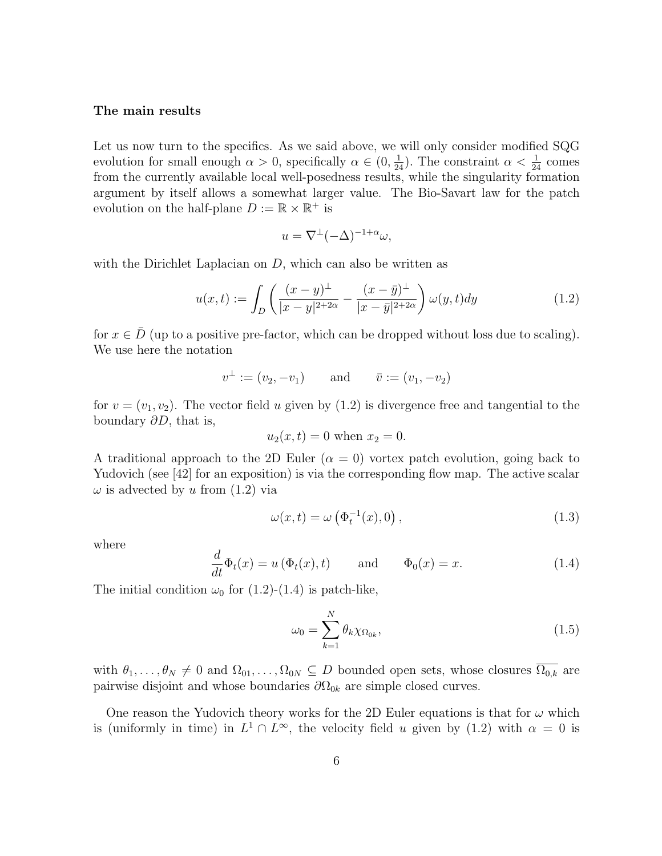#### The main results

Let us now turn to the specifics. As we said above, we will only consider modified SQG evolution for small enough  $\alpha > 0$ , specifically  $\alpha \in (0, \frac{1}{24})$ . The constraint  $\alpha < \frac{1}{24}$  comes from the currently available local well-posedness results, while the singularity formation argument by itself allows a somewhat larger value. The Bio-Savart law for the patch evolution on the half-plane  $D := \mathbb{R} \times \mathbb{R}^+$  is

$$
u = \nabla^{\perp} (-\Delta)^{-1+\alpha} \omega,
$$

with the Dirichlet Laplacian on  $D$ , which can also be written as

$$
u(x,t) := \int_{D} \left( \frac{(x-y)^{\perp}}{|x-y|^{2+2\alpha}} - \frac{(x-\bar{y})^{\perp}}{|x-\bar{y}|^{2+2\alpha}} \right) \omega(y,t) dy \tag{1.2}
$$

for  $x \in \overline{D}$  (up to a positive pre-factor, which can be dropped without loss due to scaling). We use here the notation

$$
v^{\perp} := (v_2, -v_1)
$$
 and  $\bar{v} := (v_1, -v_2)$ 

for  $v = (v_1, v_2)$ . The vector field u given by (1.2) is divergence free and tangential to the boundary  $\partial D$ , that is,

$$
u_2(x,t) = 0
$$
 when  $x_2 = 0$ .

A traditional approach to the 2D Euler  $(\alpha = 0)$  vortex patch evolution, going back to Yudovich (see [42] for an exposition) is via the corresponding flow map. The active scalar  $\omega$  is advected by u from  $(1.2)$  via

$$
\omega(x,t) = \omega\left(\Phi_t^{-1}(x),0\right),\tag{1.3}
$$

where

$$
\frac{d}{dt}\Phi_t(x) = u\left(\Phi_t(x), t\right) \quad \text{and} \quad \Phi_0(x) = x. \tag{1.4}
$$

The initial condition  $\omega_0$  for (1.2)-(1.4) is patch-like,

$$
\omega_0 = \sum_{k=1}^{N} \theta_k \chi_{\Omega_{0k}},\tag{1.5}
$$

with  $\theta_1, \ldots, \theta_N \neq 0$  and  $\Omega_{01}, \ldots, \Omega_{0N} \subseteq D$  bounded open sets, whose closures  $\overline{\Omega_{0,k}}$  are pairwise disjoint and whose boundaries  $\partial\Omega_{0k}$  are simple closed curves.

One reason the Yudovich theory works for the 2D Euler equations is that for  $\omega$  which is (uniformly in time) in  $L^1 \cap L^{\infty}$ , the velocity field u given by (1.2) with  $\alpha = 0$  is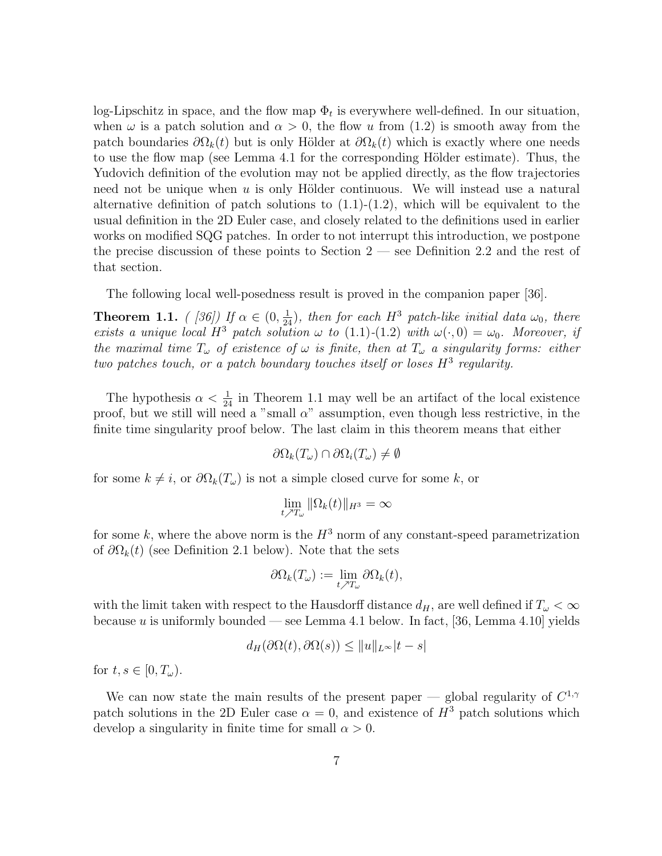log-Lipschitz in space, and the flow map  $\Phi_t$  is everywhere well-defined. In our situation, when  $\omega$  is a patch solution and  $\alpha > 0$ , the flow u from (1.2) is smooth away from the patch boundaries  $\partial\Omega_k(t)$  but is only Hölder at  $\partial\Omega_k(t)$  which is exactly where one needs to use the flow map (see Lemma 4.1 for the corresponding Hölder estimate). Thus, the Yudovich definition of the evolution may not be applied directly, as the flow trajectories need not be unique when  $u$  is only Hölder continuous. We will instead use a natural alternative definition of patch solutions to  $(1.1)-(1.2)$ , which will be equivalent to the usual definition in the 2D Euler case, and closely related to the definitions used in earlier works on modified SQG patches. In order to not interrupt this introduction, we postpone the precise discussion of these points to Section 2 — see Definition 2.2 and the rest of that section.

The following local well-posedness result is proved in the companion paper [36].

**Theorem 1.1.** ([36]) If  $\alpha \in (0, \frac{1}{24})$ , then for each H<sup>3</sup> patch-like initial data  $\omega_0$ , there exists a unique local H<sup>3</sup> patch solution  $\omega$  to (1.1)-(1.2) with  $\omega(\cdot,0) = \omega_0$ . Moreover, if the maximal time  $T_{\omega}$  of existence of  $\omega$  is finite, then at  $T_{\omega}$  a singularity forms: either two patches touch, or a patch boundary touches itself or loses  $H^3$  regularity.

The hypothesis  $\alpha < \frac{1}{24}$  in Theorem 1.1 may well be an artifact of the local existence proof, but we still will need a "small  $\alpha$ " assumption, even though less restrictive, in the finite time singularity proof below. The last claim in this theorem means that either

$$
\partial\Omega_k(T_\omega)\cap\partial\Omega_i(T_\omega)\neq\emptyset
$$

for some  $k \neq i$ , or  $\partial \Omega_k(T_\omega)$  is not a simple closed curve for some k, or

$$
\lim_{t \nearrow T_{\omega}} \|\Omega_k(t)\|_{H^3} = \infty
$$

for some k, where the above norm is the  $H^3$  norm of any constant-speed parametrization of  $\partial\Omega_k(t)$  (see Definition 2.1 below). Note that the sets

$$
\partial \Omega_k(T_\omega) := \lim_{t \nearrow T_\omega} \partial \Omega_k(t),
$$

with the limit taken with respect to the Hausdorff distance  $d_H$ , are well defined if  $T_{\omega} < \infty$ because u is uniformly bounded — see Lemma 4.1 below. In fact, [36, Lemma 4.10] yields

$$
d_H(\partial\Omega(t),\partial\Omega(s)) \le ||u||_{L^\infty}|t-s|
$$

for  $t, s \in [0, T_{\omega}).$ 

We can now state the main results of the present paper — global regularity of  $C^{1,\gamma}$ patch solutions in the 2D Euler case  $\alpha = 0$ , and existence of  $H^3$  patch solutions which develop a singularity in finite time for small  $\alpha > 0$ .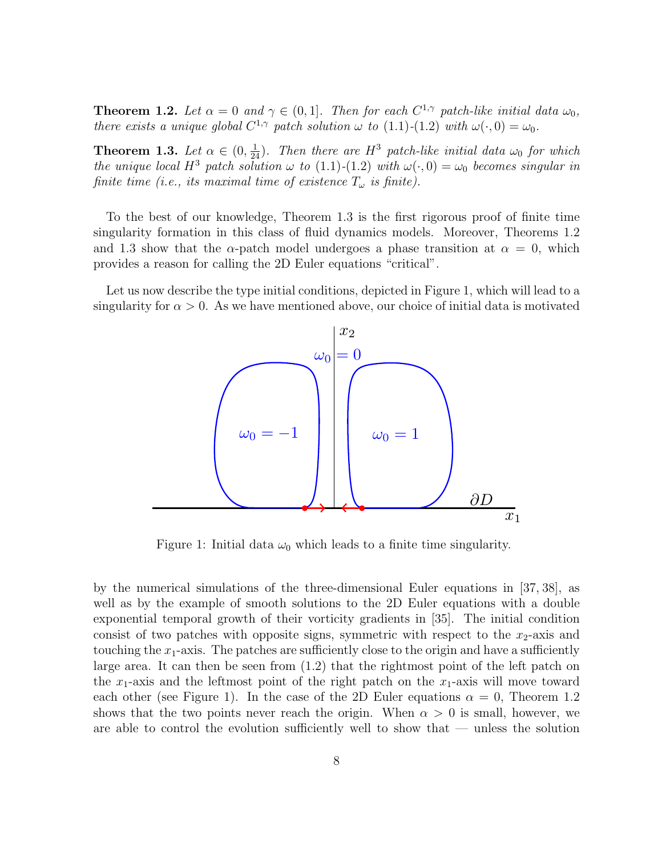**Theorem 1.2.** Let  $\alpha = 0$  and  $\gamma \in (0, 1]$ . Then for each  $C^{1,\gamma}$  patch-like initial data  $\omega_0$ , there exists a unique global  $C^{1,\gamma}$  patch solution  $\omega$  to  $(1.1)-(1.2)$  with  $\omega(\cdot,0)=\omega_0$ .

**Theorem 1.3.** Let  $\alpha \in (0, \frac{1}{24})$ . Then there are  $H^3$  patch-like initial data  $\omega_0$  for which the unique local H<sup>3</sup> patch solution  $\omega$  to (1.1)-(1.2) with  $\omega(\cdot, 0) = \omega_0$  becomes singular in finite time (i.e., its maximal time of existence  $T_{\omega}$  is finite).

To the best of our knowledge, Theorem 1.3 is the first rigorous proof of finite time singularity formation in this class of fluid dynamics models. Moreover, Theorems 1.2 and 1.3 show that the  $\alpha$ -patch model undergoes a phase transition at  $\alpha = 0$ , which provides a reason for calling the 2D Euler equations "critical".

Let us now describe the type initial conditions, depicted in Figure 1, which will lead to a singularity for  $\alpha > 0$ . As we have mentioned above, our choice of initial data is motivated



Figure 1: Initial data  $\omega_0$  which leads to a finite time singularity.

by the numerical simulations of the three-dimensional Euler equations in [37, 38], as well as by the example of smooth solutions to the 2D Euler equations with a double exponential temporal growth of their vorticity gradients in [35]. The initial condition consist of two patches with opposite signs, symmetric with respect to the  $x_2$ -axis and touching the  $x_1$ -axis. The patches are sufficiently close to the origin and have a sufficiently large area. It can then be seen from (1.2) that the rightmost point of the left patch on the  $x_1$ -axis and the leftmost point of the right patch on the  $x_1$ -axis will move toward each other (see Figure 1). In the case of the 2D Euler equations  $\alpha = 0$ , Theorem 1.2 shows that the two points never reach the origin. When  $\alpha > 0$  is small, however, we are able to control the evolution sufficiently well to show that — unless the solution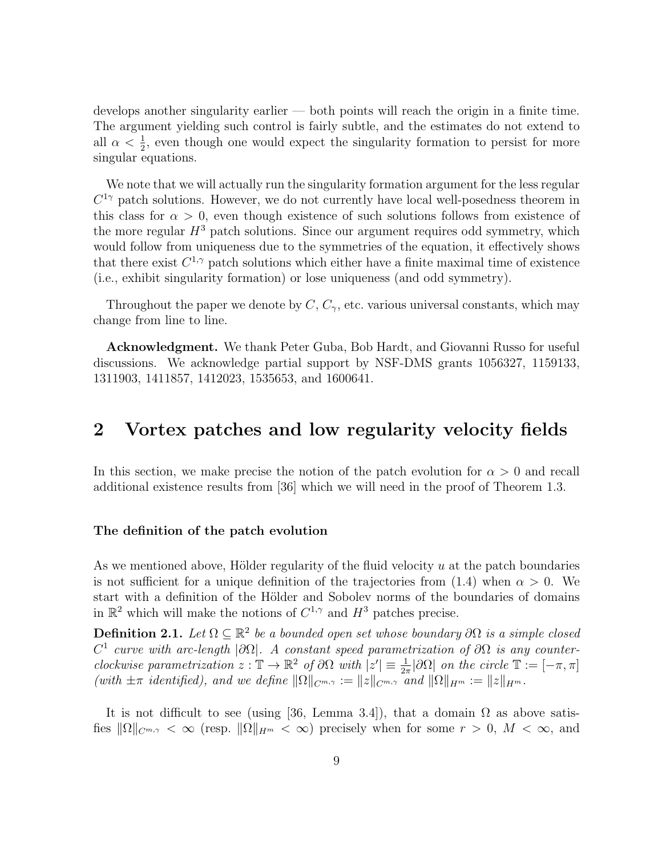develops another singularity earlier — both points will reach the origin in a finite time. The argument yielding such control is fairly subtle, and the estimates do not extend to all  $\alpha < \frac{1}{2}$ , even though one would expect the singularity formation to persist for more singular equations.

We note that we will actually run the singularity formation argument for the less regular  $C^{1\gamma}$  patch solutions. However, we do not currently have local well-posedness theorem in this class for  $\alpha > 0$ , even though existence of such solutions follows from existence of the more regular  $H^3$  patch solutions. Since our argument requires odd symmetry, which would follow from uniqueness due to the symmetries of the equation, it effectively shows that there exist  $C^{1,\gamma}$  patch solutions which either have a finite maximal time of existence (i.e., exhibit singularity formation) or lose uniqueness (and odd symmetry).

Throughout the paper we denote by  $C, C_{\gamma}$ , etc. various universal constants, which may change from line to line.

Acknowledgment. We thank Peter Guba, Bob Hardt, and Giovanni Russo for useful discussions. We acknowledge partial support by NSF-DMS grants 1056327, 1159133, 1311903, 1411857, 1412023, 1535653, and 1600641.

# 2 Vortex patches and low regularity velocity fields

In this section, we make precise the notion of the patch evolution for  $\alpha > 0$  and recall additional existence results from [36] which we will need in the proof of Theorem 1.3.

#### The definition of the patch evolution

As we mentioned above, Hölder regularity of the fluid velocity  $u$  at the patch boundaries is not sufficient for a unique definition of the trajectories from (1.4) when  $\alpha > 0$ . We start with a definition of the Hölder and Sobolev norms of the boundaries of domains in  $\mathbb{R}^2$  which will make the notions of  $C^{1,\gamma}$  and  $H^3$  patches precise.

**Definition 2.1.** Let  $\Omega \subseteq \mathbb{R}^2$  be a bounded open set whose boundary  $\partial \Omega$  is a simple closed  $C<sup>1</sup>$  curve with arc-length  $|\partial\Omega|$ . A constant speed parametrization of  $\partial\Omega$  is any counterclockwise parametrization  $z : \mathbb{T} \to \mathbb{R}^2$  of  $\partial\Omega$  with  $|z'| \equiv \frac{1}{2\pi} |\partial\Omega|$  on the circle  $\mathbb{T} := [-\pi, \pi]$ (with  $\pm\pi$  identified), and we define  $\|\Omega\|_{C^{m,\gamma}} := \|z\|_{C^{m,\gamma}}$  and  $\|\Omega\|_{H^m} := \|z\|_{H^m}$ .

It is not difficult to see (using [36, Lemma 3.4]), that a domain  $\Omega$  as above satisfies  $\|\Omega\|_{C^{m,\gamma}} < \infty$  (resp.  $\|\Omega\|_{H^m} < \infty$ ) precisely when for some  $r > 0$ ,  $M < \infty$ , and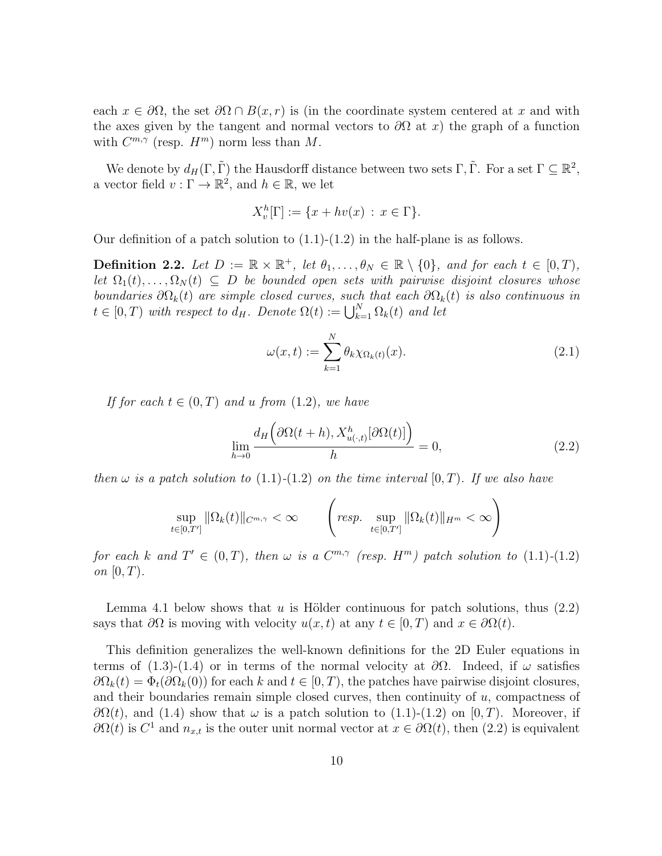each  $x \in \partial\Omega$ , the set  $\partial\Omega \cap B(x, r)$  is (in the coordinate system centered at x and with the axes given by the tangent and normal vectors to  $\partial\Omega$  at x) the graph of a function with  $C^{m,\gamma}$  (resp.  $H^m$ ) norm less than M.

We denote by  $d_H(\Gamma, \tilde{\Gamma})$  the Hausdorff distance between two sets  $\Gamma, \tilde{\Gamma}$ . For a set  $\Gamma \subseteq \mathbb{R}^2$ , a vector field  $v : \Gamma \to \mathbb{R}^2$ , and  $h \in \mathbb{R}$ , we let

$$
X_v^h[\Gamma] := \{ x + hv(x) : x \in \Gamma \}.
$$

Our definition of a patch solution to  $(1.1)-(1.2)$  in the half-plane is as follows.

**Definition 2.2.** Let  $D := \mathbb{R} \times \mathbb{R}^+$ , let  $\theta_1, \ldots, \theta_N \in \mathbb{R} \setminus \{0\}$ , and for each  $t \in [0, T)$ , let  $\Omega_1(t), \ldots, \Omega_N(t) \subseteq D$  be bounded open sets with pairwise disjoint closures whose boundaries  $\partial\Omega_k(t)$  are simple closed curves, such that each  $\partial\Omega_k(t)$  is also continuous in  $t \in [0, T)$  with respect to  $d_H$ . Denote  $\Omega(t) := \bigcup_{k=1}^N \Omega_k(t)$  and let

$$
\omega(x,t) := \sum_{k=1}^{N} \theta_k \chi_{\Omega_k(t)}(x). \tag{2.1}
$$

If for each  $t \in (0,T)$  and u from  $(1.2)$ , we have

$$
\lim_{h \to 0} \frac{d_H\left(\partial \Omega(t+h), X_{u(\cdot,t)}^h[\partial \Omega(t)]\right)}{h} = 0,
$$
\n(2.2)

then  $\omega$  is a patch solution to (1.1)-(1.2) on the time interval  $[0, T)$ . If we also have

$$
\sup_{t\in[0,T']}\|\Omega_k(t)\|_{C^{m,\gamma}}<\infty \qquad \left(\text{resp. } \sup_{t\in[0,T']}\|\Omega_k(t)\|_{H^m}<\infty\right)
$$

for each k and  $T' \in (0,T)$ , then  $\omega$  is a  $C^{m,\gamma}$  (resp.  $H^m$ ) patch solution to  $(1.1)-(1.2)$ on  $[0, T)$ .

Lemma 4.1 below shows that u is Hölder continuous for patch solutions, thus  $(2.2)$ says that  $\partial\Omega$  is moving with velocity  $u(x, t)$  at any  $t \in [0, T)$  and  $x \in \partial\Omega(t)$ .

This definition generalizes the well-known definitions for the 2D Euler equations in terms of (1.3)-(1.4) or in terms of the normal velocity at  $\partial\Omega$ . Indeed, if  $\omega$  satisfies  $\partial\Omega_k(t) = \Phi_t(\partial\Omega_k(0))$  for each k and  $t \in [0, T)$ , the patches have pairwise disjoint closures, and their boundaries remain simple closed curves, then continuity of  $u$ , compactness of  $\partial\Omega(t)$ , and (1.4) show that  $\omega$  is a patch solution to (1.1)-(1.2) on [0, T). Moreover, if  $\partial\Omega(t)$  is  $C^1$  and  $n_{x,t}$  is the outer unit normal vector at  $x \in \partial\Omega(t)$ , then  $(2.2)$  is equivalent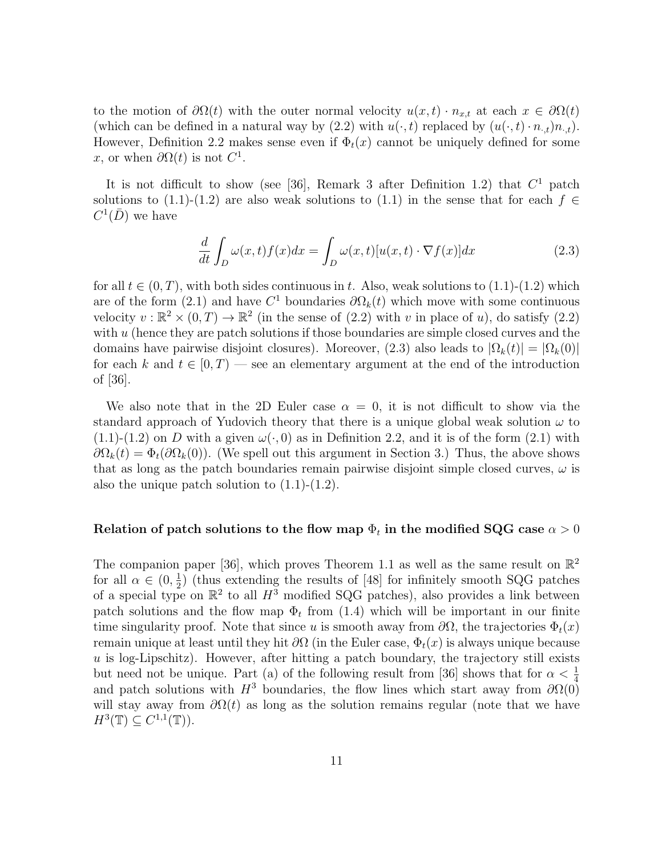to the motion of  $\partial\Omega(t)$  with the outer normal velocity  $u(x,t) \cdot n_{x,t}$  at each  $x \in \partial\Omega(t)$ (which can be defined in a natural way by (2.2) with  $u(\cdot, t)$  replaced by  $(u(\cdot, t) \cdot n_{\cdot,t})n_{\cdot,t}).$ However, Definition 2.2 makes sense even if  $\Phi_t(x)$  cannot be uniquely defined for some x, or when  $\partial \Omega(t)$  is not  $C^1$ .

It is not difficult to show (see [36], Remark 3 after Definition 1.2) that  $C<sup>1</sup>$  patch solutions to (1.1)-(1.2) are also weak solutions to (1.1) in the sense that for each  $f \in$  $C^1(\overline{D})$  we have

$$
\frac{d}{dt} \int_{D} \omega(x, t) f(x) dx = \int_{D} \omega(x, t) [u(x, t) \cdot \nabla f(x)] dx \qquad (2.3)
$$

for all  $t \in (0, T)$ , with both sides continuous in t. Also, weak solutions to  $(1.1)-(1.2)$  which are of the form (2.1) and have  $C^1$  boundaries  $\partial\Omega_k(t)$  which move with some continuous velocity  $v : \mathbb{R}^2 \times (0,T) \to \mathbb{R}^2$  (in the sense of (2.2) with v in place of u), do satisfy (2.2) with  $u$  (hence they are patch solutions if those boundaries are simple closed curves and the domains have pairwise disjoint closures). Moreover,  $(2.3)$  also leads to  $|\Omega_k(t)| = |\Omega_k(0)|$ for each k and  $t \in [0, T)$  — see an elementary argument at the end of the introduction of [36].

We also note that in the 2D Euler case  $\alpha = 0$ , it is not difficult to show via the standard approach of Yudovich theory that there is a unique global weak solution  $\omega$  to  $(1.1)-(1.2)$  on D with a given  $\omega(\cdot,0)$  as in Definition 2.2, and it is of the form  $(2.1)$  with  $\partial\Omega_k(t) = \Phi_t(\partial\Omega_k(0))$ . (We spell out this argument in Section 3.) Thus, the above shows that as long as the patch boundaries remain pairwise disjoint simple closed curves,  $\omega$  is also the unique patch solution to (1.1)-(1.2).

#### Relation of patch solutions to the flow map  $\Phi_t$  in the modified SQG case  $\alpha > 0$

The companion paper [36], which proves Theorem 1.1 as well as the same result on  $\mathbb{R}^2$ for all  $\alpha \in (0, \frac{1}{2})$  $\frac{1}{2}$ ) (thus extending the results of [48] for infinitely smooth SQG patches of a special type on  $\mathbb{R}^2$  to all  $H^3$  modified SQG patches), also provides a link between patch solutions and the flow map  $\Phi_t$  from (1.4) which will be important in our finite time singularity proof. Note that since u is smooth away from  $\partial\Omega$ , the trajectories  $\Phi_t(x)$ remain unique at least until they hit  $\partial\Omega$  (in the Euler case,  $\Phi_t(x)$  is always unique because  $u$  is log-Lipschitz). However, after hitting a patch boundary, the trajectory still exists but need not be unique. Part (a) of the following result from [36] shows that for  $\alpha < \frac{1}{4}$ and patch solutions with  $H^3$  boundaries, the flow lines which start away from  $\partial\Omega(0)$ will stay away from  $\partial \Omega(t)$  as long as the solution remains regular (note that we have  $H^3(\mathbb{T}) \subseteq C^{1,1}(\mathbb{T})$ ).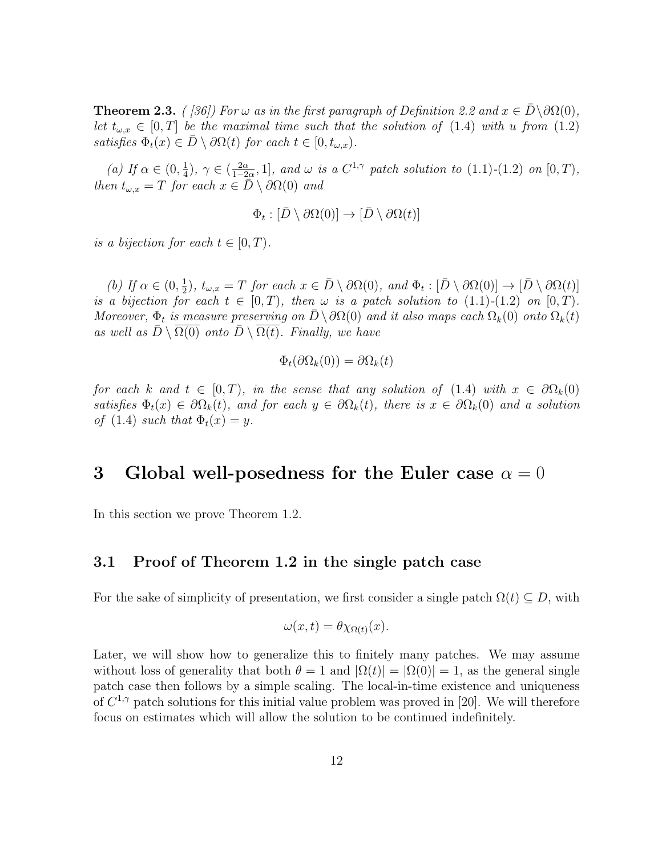**Theorem 2.3.** ( [36]) For  $\omega$  as in the first paragraph of Definition 2.2 and  $x \in \overline{D} \setminus \partial \Omega(0)$ , let  $t_{\omega,x} \in [0,T]$  be the maximal time such that the solution of (1.4) with u from (1.2) satisfies  $\Phi_t(x) \in \overline{D} \setminus \partial \Omega(t)$  for each  $t \in [0, t_{\omega,x})$ .

(a) If  $\alpha \in (0, \frac{1}{4})$  $(\frac{1}{4}), \gamma \in (\frac{2\alpha}{1-2})$  $\frac{2\alpha}{1-2\alpha}$ , 1], and  $\omega$  is a  $C^{1,\gamma}$  patch solution to  $(1.1)-(1.2)$  on  $[0,T)$ , then  $t_{\omega,x} = T$  for each  $x \in \overline{D} \setminus \partial \Omega(0)$  and

$$
\Phi_t:[\bar{D}\setminus\partial\Omega(0)]\to[\bar{D}\setminus\partial\Omega(t)]
$$

is a bijection for each  $t \in [0, T)$ .

(b) If  $\alpha \in (0, \frac{1}{2})$  $\frac{1}{2}$ ,  $t_{\omega,x} = T$  for each  $x \in \overline{D} \setminus \partial\Omega(0)$ , and  $\Phi_t : [\overline{D} \setminus \partial\Omega(0)] \to [\overline{D} \setminus \partial\Omega(t)]$ is a bijection for each  $t \in [0, T)$ , then  $\omega$  is a patch solution to  $(1.1)-(1.2)$  on  $[0, T)$ . Moreover,  $\Phi_t$  is measure preserving on  $D \setminus \partial \Omega(0)$  and it also maps each  $\Omega_k(0)$  onto  $\Omega_k(t)$ as well as  $\overline{D} \setminus \Omega(0)$  onto  $\overline{D} \setminus \Omega(t)$ . Finally, we have

$$
\Phi_t(\partial\Omega_k(0)) = \partial\Omega_k(t)
$$

for each k and  $t \in [0, T)$ , in the sense that any solution of (1.4) with  $x \in \partial \Omega_k(0)$ satisfies  $\Phi_t(x) \in \partial \Omega_k(t)$ , and for each  $y \in \partial \Omega_k(t)$ , there is  $x \in \partial \Omega_k(0)$  and a solution of (1.4) such that  $\Phi_t(x) = y$ .

# 3 Global well-posedness for the Euler case  $\alpha = 0$

In this section we prove Theorem 1.2.

#### 3.1 Proof of Theorem 1.2 in the single patch case

For the sake of simplicity of presentation, we first consider a single patch  $\Omega(t) \subseteq D$ , with

$$
\omega(x,t) = \theta \chi_{\Omega(t)}(x).
$$

Later, we will show how to generalize this to finitely many patches. We may assume without loss of generality that both  $\theta = 1$  and  $|\Omega(t)| = |\Omega(0)| = 1$ , as the general single patch case then follows by a simple scaling. The local-in-time existence and uniqueness of  $C^{1,\gamma}$  patch solutions for this initial value problem was proved in [20]. We will therefore focus on estimates which will allow the solution to be continued indefinitely.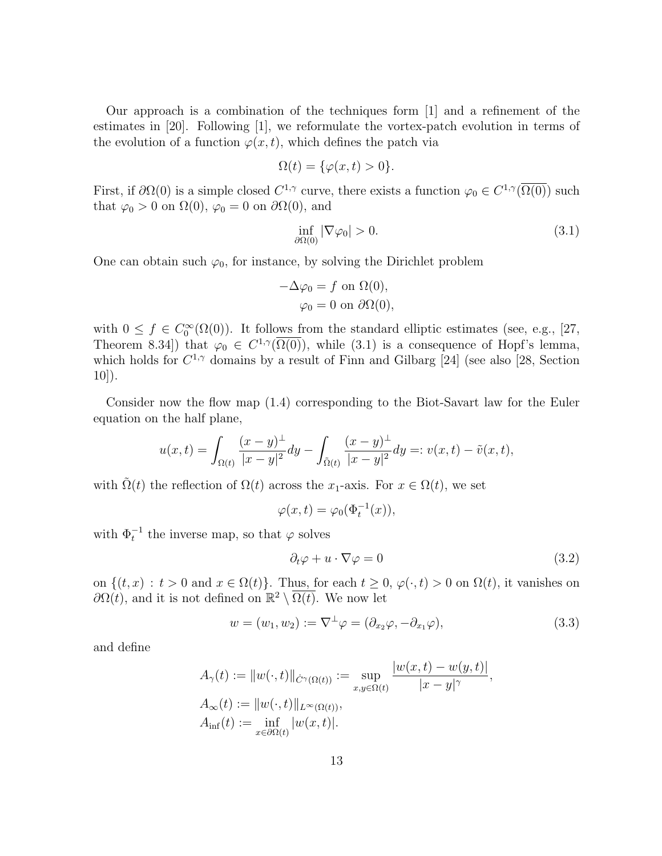Our approach is a combination of the techniques form [1] and a refinement of the estimates in [20]. Following [1], we reformulate the vortex-patch evolution in terms of the evolution of a function  $\varphi(x, t)$ , which defines the patch via

$$
\Omega(t) = \{\varphi(x, t) > 0\}.
$$

First, if  $\partial\Omega(0)$  is a simple closed  $C^{1,\gamma}$  curve, there exists a function  $\varphi_0 \in C^{1,\gamma}(\overline{\Omega(0)})$  such that  $\varphi_0 > 0$  on  $\Omega(0)$ ,  $\varphi_0 = 0$  on  $\partial\Omega(0)$ , and

$$
\inf_{\partial\Omega(0)} |\nabla \varphi_0| > 0. \tag{3.1}
$$

One can obtain such  $\varphi_0$ , for instance, by solving the Dirichlet problem

$$
-\Delta \varphi_0 = f \text{ on } \Omega(0),
$$
  

$$
\varphi_0 = 0 \text{ on } \partial\Omega(0),
$$

with  $0 \le f \in C_0^{\infty}(\Omega(0))$ . It follows from the standard elliptic estimates (see, e.g., [27, Theorem 8.34]) that  $\varphi_0 \in C^{1,\gamma}(\overline{\Omega(0)})$ , while (3.1) is a consequence of Hopf's lemma, which holds for  $C^{1,\gamma}$  domains by a result of Finn and Gilbarg [24] (see also [28, Section 10]).

Consider now the flow map (1.4) corresponding to the Biot-Savart law for the Euler equation on the half plane,

$$
u(x,t) = \int_{\Omega(t)} \frac{(x-y)^{\perp}}{|x-y|^2} dy - \int_{\tilde{\Omega}(t)} \frac{(x-y)^{\perp}}{|x-y|^2} dy =: v(x,t) - \tilde{v}(x,t),
$$

with  $\Omega(t)$  the reflection of  $\Omega(t)$  across the x<sub>1</sub>-axis. For  $x \in \Omega(t)$ , we set

$$
\varphi(x,t) = \varphi_0(\Phi_t^{-1}(x)),
$$

with  $\Phi_t^{-1}$  the inverse map, so that  $\varphi$  solves

$$
\partial_t \varphi + u \cdot \nabla \varphi = 0 \tag{3.2}
$$

on  $\{(t, x) : t > 0 \text{ and } x \in \Omega(t)\}\)$ . Thus, for each  $t \geq 0$ ,  $\varphi(\cdot, t) > 0$  on  $\Omega(t)$ , it vanishes on  $\partial\Omega(t)$ , and it is not defined on  $\mathbb{R}^2 \setminus \overline{\Omega(t)}$ . We now let

$$
w = (w_1, w_2) := \nabla^{\perp} \varphi = (\partial_{x_2} \varphi, -\partial_{x_1} \varphi), \tag{3.3}
$$

and define

$$
A_{\gamma}(t) := ||w(\cdot,t)||_{\dot{C}^{\gamma}(\Omega(t))} := \sup_{x,y \in \Omega(t)} \frac{|w(x,t) - w(y,t)|}{|x - y|^{\gamma}},
$$
  
\n
$$
A_{\infty}(t) := ||w(\cdot,t)||_{L^{\infty}(\Omega(t))},
$$
  
\n
$$
A_{\inf}(t) := \inf_{x \in \partial\Omega(t)} |w(x,t)|.
$$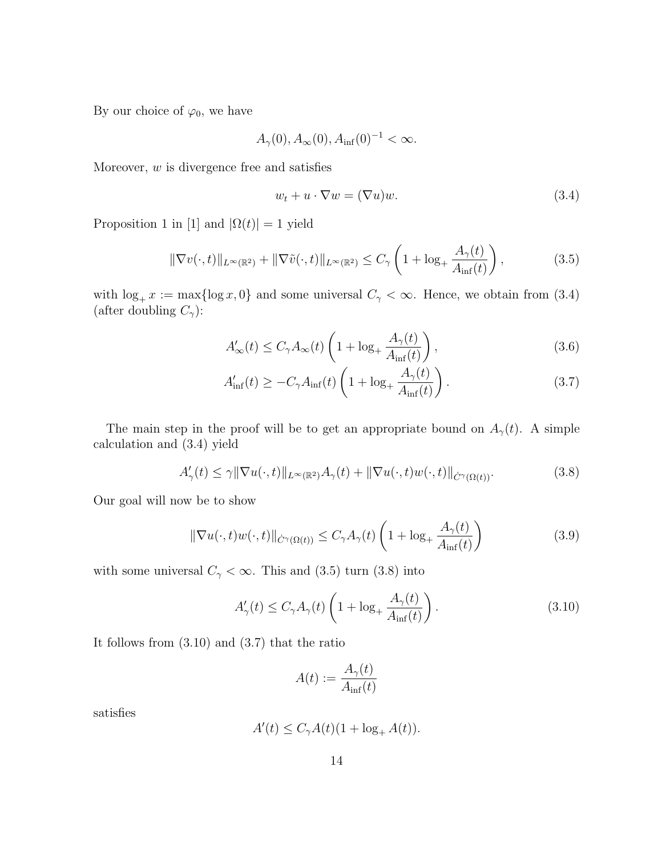By our choice of  $\varphi_0$ , we have

$$
A_{\gamma}(0), A_{\infty}(0), A_{\inf}(0)^{-1} < \infty.
$$

Moreover,  $w$  is divergence free and satisfies

$$
w_t + u \cdot \nabla w = (\nabla u)w. \tag{3.4}
$$

Proposition 1 in [1] and  $|\Omega(t)| = 1$  yield

$$
\|\nabla v(\cdot,t)\|_{L^{\infty}(\mathbb{R}^2)} + \|\nabla \tilde{v}(\cdot,t)\|_{L^{\infty}(\mathbb{R}^2)} \le C_{\gamma} \left(1 + \log_{+} \frac{A_{\gamma}(t)}{A_{\inf}(t)}\right),\tag{3.5}
$$

with  $\log_+ x := \max\{\log x, 0\}$  and some universal  $C_\gamma < \infty$ . Hence, we obtain from (3.4) (after doubling  $C_{\gamma}$ ):

$$
A'_{\infty}(t) \le C_{\gamma} A_{\infty}(t) \left( 1 + \log_{+} \frac{A_{\gamma}(t)}{A_{\inf}(t)} \right), \tag{3.6}
$$

$$
A'_{\rm inf}(t) \ge -C_{\gamma} A_{\rm inf}(t) \left(1 + \log_{+} \frac{A_{\gamma}(t)}{A_{\rm inf}(t)}\right). \tag{3.7}
$$

The main step in the proof will be to get an appropriate bound on  $A_{\gamma}(t)$ . A simple calculation and (3.4) yield

$$
A'_{\gamma}(t) \leq \gamma \|\nabla u(\cdot, t)\|_{L^{\infty}(\mathbb{R}^2)} A_{\gamma}(t) + \|\nabla u(\cdot, t)w(\cdot, t)\|_{\dot{C}^{\gamma}(\Omega(t))}.
$$
\n(3.8)

Our goal will now be to show

$$
\|\nabla u(\cdot,t)w(\cdot,t)\|_{\dot{C}^{\gamma}(\Omega(t))} \leq C_{\gamma}A_{\gamma}(t)\left(1 + \log_{+}\frac{A_{\gamma}(t)}{A_{\inf}(t)}\right)
$$
(3.9)

with some universal  $C_{\gamma} < \infty$ . This and (3.5) turn (3.8) into

$$
A'_{\gamma}(t) \le C_{\gamma} A_{\gamma}(t) \left( 1 + \log_{+} \frac{A_{\gamma}(t)}{A_{\inf}(t)} \right). \tag{3.10}
$$

It follows from (3.10) and (3.7) that the ratio

$$
A(t) := \frac{A_{\gamma}(t)}{A_{\inf}(t)}
$$

satisfies

$$
A'(t) \le C_{\gamma}A(t)(1 + \log_+ A(t)).
$$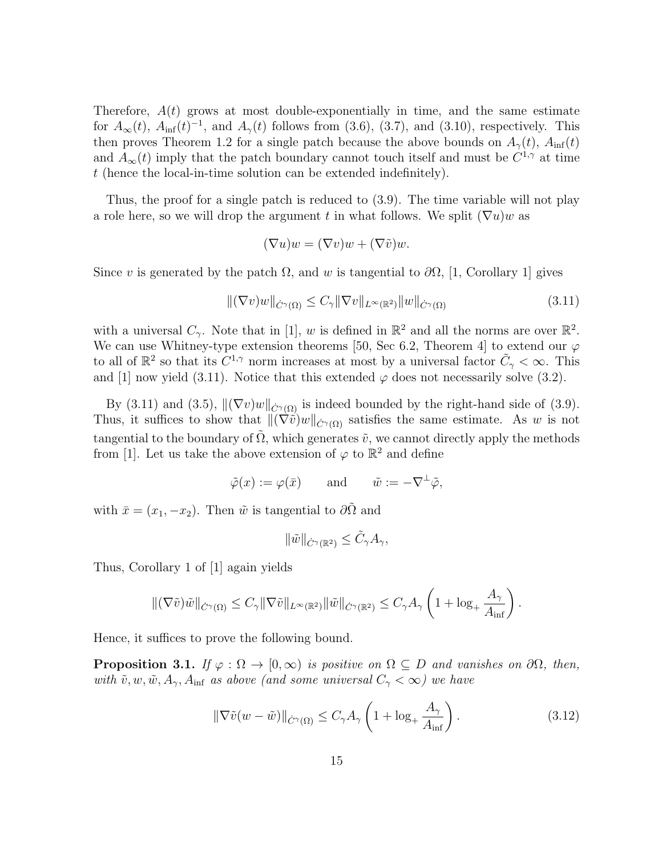Therefore,  $A(t)$  grows at most double-exponentially in time, and the same estimate for  $A_{\infty}(t)$ ,  $A_{\text{inf}}(t)^{-1}$ , and  $A_{\gamma}(t)$  follows from (3.6), (3.7), and (3.10), respectively. This then proves Theorem 1.2 for a single patch because the above bounds on  $A_{\gamma}(t)$ ,  $A_{\text{inf}}(t)$ and  $A_{\infty}(t)$  imply that the patch boundary cannot touch itself and must be  $C^{1,\gamma}$  at time t (hence the local-in-time solution can be extended indefinitely).

Thus, the proof for a single patch is reduced to (3.9). The time variable will not play a role here, so we will drop the argument t in what follows. We split  $(\nabla u)w$  as

$$
(\nabla u)w = (\nabla v)w + (\nabla \tilde{v})w.
$$

Since v is generated by the patch  $\Omega$ , and w is tangential to  $\partial\Omega$ , [1, Corollary 1] gives

$$
\|(\nabla v)w\|_{\dot{C}^{\gamma}(\Omega)} \leq C_{\gamma} \|\nabla v\|_{L^{\infty}(\mathbb{R}^2)} \|w\|_{\dot{C}^{\gamma}(\Omega)} \tag{3.11}
$$

with a universal  $C_{\gamma}$ . Note that in [1], w is defined in  $\mathbb{R}^2$  and all the norms are over  $\mathbb{R}^2$ . We can use Whitney-type extension theorems [50, Sec 6.2, Theorem 4] to extend our  $\varphi$ to all of  $\mathbb{R}^2$  so that its  $C^{1,\gamma}$  norm increases at most by a universal factor  $\tilde{C}_{\gamma} < \infty$ . This and [1] now yield (3.11). Notice that this extended  $\varphi$  does not necessarily solve (3.2).

By (3.11) and (3.5),  $\|(\nabla v)w\|_{\mathcal{C}(\Omega)}$  is indeed bounded by the right-hand side of (3.9). Thus, it suffices to show that  $\|(\nabla \tilde{v})w\|_{\mathcal{C}^\gamma(\Omega)}$  satisfies the same estimate. As w is not tangential to the boundary of  $\tilde{\Omega}$ , which generates  $\tilde{v}$ , we cannot directly apply the methods from [1]. Let us take the above extension of  $\varphi$  to  $\mathbb{R}^2$  and define

$$
\tilde{\varphi}(x) := \varphi(\bar{x}) \quad \text{and} \quad \tilde{w} := -\nabla^{\perp}\tilde{\varphi},
$$

with  $\bar{x} = (x_1, -x_2)$ . Then  $\tilde{w}$  is tangential to  $\partial \tilde{\Omega}$  and

$$
\|\tilde{w}\|_{\dot{C}^{\gamma}(\mathbb{R}^2)} \leq \tilde{C}_{\gamma}A_{\gamma},
$$

Thus, Corollary 1 of [1] again yields

$$
\|(\nabla \tilde{v})\tilde{w}\|_{\dot{C}^{\gamma}(\Omega)} \leq C_{\gamma} \|\nabla \tilde{v}\|_{L^{\infty}(\mathbb{R}^2)} \|\tilde{w}\|_{\dot{C}^{\gamma}(\mathbb{R}^2)} \leq C_{\gamma} A_{\gamma} \left(1 + \log_{+} \frac{A_{\gamma}}{A_{\inf}}\right).
$$

Hence, it suffices to prove the following bound.

**Proposition 3.1.** If  $\varphi : \Omega \to [0, \infty)$  is positive on  $\Omega \subseteq D$  and vanishes on  $\partial\Omega$ , then, with  $\tilde{v}, w, \tilde{w}, A_{\gamma}, A_{\text{inf}}$  as above (and some universal  $C_{\gamma} < \infty$ ) we have

$$
\|\nabla \tilde{v}(w - \tilde{w})\|_{\dot{C}^{\gamma}(\Omega)} \le C_{\gamma} A_{\gamma} \left(1 + \log_{+} \frac{A_{\gamma}}{A_{\inf}}\right). \tag{3.12}
$$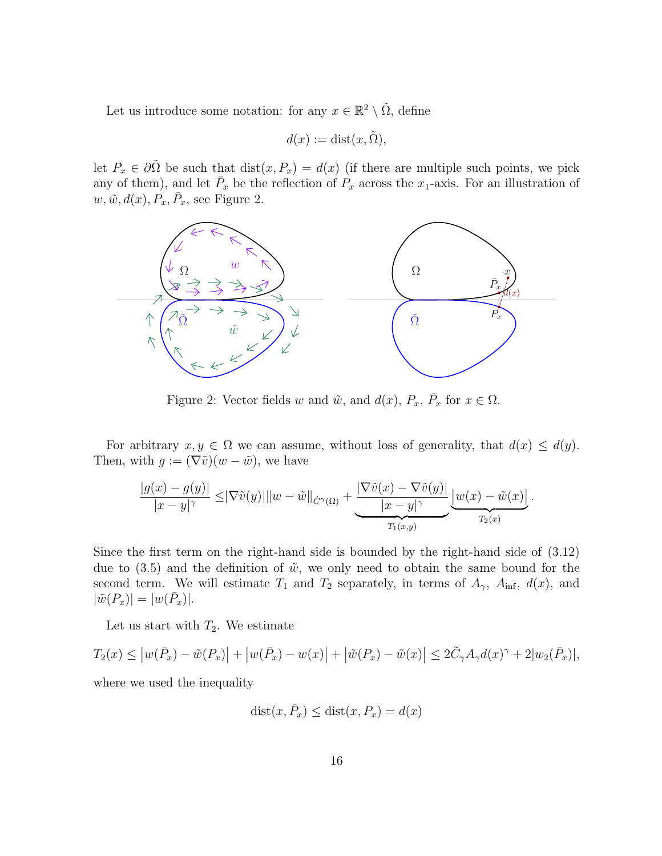Let us introduce some notation: for any  $x \in \mathbb{R}^2 \setminus \tilde{\Omega}$ , define

$$
d(x) := \text{dist}(x, \tilde{\Omega}),
$$

let  $P_x \in \partial \tilde{\Omega}$  be such that  $dist(x, P_x) = d(x)$  (if there are multiple such points, we pick any of them), and let  $\bar{P}_x$  be the reflection of  $P_x$  across the  $x_1$ -axis. For an illustration of  $w, \tilde{w}, d(x), P_x, \bar{P}_x$ , see Figure 2.



Figure 2: Vector fields w and  $\tilde{w}$ , and  $d(x)$ ,  $P_x$ ,  $\bar{P}_x$  for  $x \in \Omega$ .

For arbitrary  $x, y \in \Omega$  we can assume, without loss of generality, that  $d(x) \leq d(y)$ . Then, with  $g := (\nabla \tilde{v})(w - \tilde{w})$ , we have

$$
\frac{|g(x)-g(y)|}{|x-y|^{\gamma}} \leq |\nabla \tilde{v}(y)| \|w-\tilde{w}\|_{\dot{C}^{\gamma}(\Omega)} + \underbrace{\frac{|\nabla \tilde{v}(x)-\nabla \tilde{v}(y)|}{|x-y|^{\gamma}}}_{T_1(x,y)} \underbrace{|w(x)-\tilde{w}(x)|}_{T_2(x)}.
$$

Since the first term on the right-hand side is bounded by the right-hand side of (3.12) due to  $(3.5)$  and the definition of  $\tilde{w}$ , we only need to obtain the same bound for the second term. We will estimate  $T_1$  and  $T_2$  separately, in terms of  $A_{\gamma}$ ,  $A_{\text{inf}}$ ,  $d(x)$ , and  $|\tilde{w}(P_x)| = |w(\bar{P}_x)|.$ 

Let us start with  $T_2$ . We estimate

$$
T_2(x) \le |w(\bar{P}_x) - \tilde{w}(P_x)| + |w(\bar{P}_x) - w(x)| + |\tilde{w}(P_x) - \tilde{w}(x)| \le 2\tilde{C}_\gamma A_\gamma d(x)^\gamma + 2|w_2(\bar{P}_x)|,
$$

where we used the inequality

$$
dist(x, \bar{P}_x) \leq dist(x, P_x) = d(x)
$$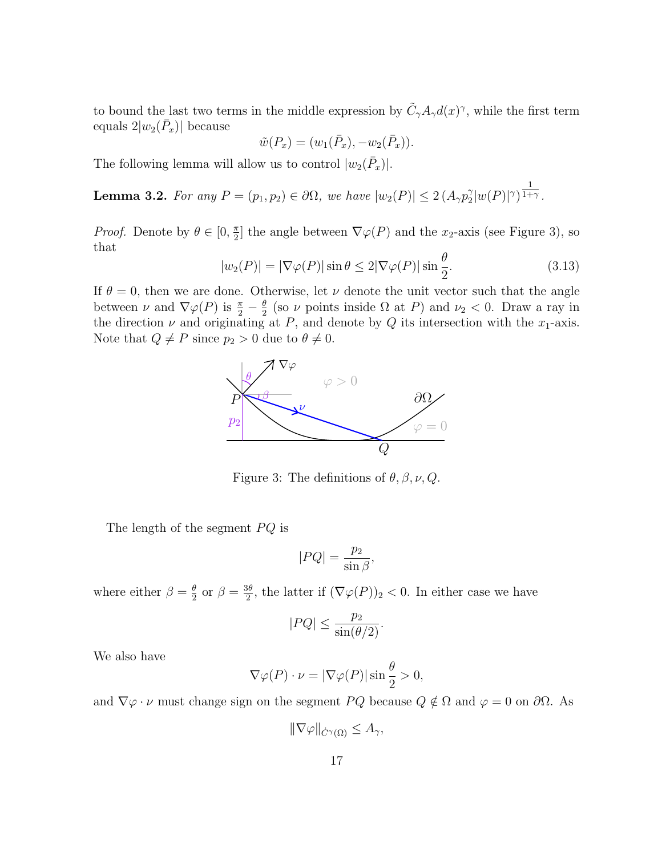to bound the last two terms in the middle expression by  $\tilde{C}_{\gamma}A_{\gamma}d(x)^{\gamma}$ , while the first term equals  $2|w_2(\bar{P}_x)|$  because

$$
\tilde{w}(P_x) = (w_1(\bar{P}_x), -w_2(\bar{P}_x)).
$$

The following lemma will allow us to control  $|w_2(\bar{P}_x)|$ .

**Lemma 3.2.** For any  $P = (p_1, p_2) \in \partial \Omega$ , we have  $|w_2(P)| \leq 2(A_{\gamma}p_2^{\gamma})$  $2^{\gamma}|w(P)|^{\gamma}$ 1  $1+\gamma$ .

*Proof.* Denote by  $\theta \in [0, \frac{\pi}{2}]$  $\frac{\pi}{2}$  the angle between  $\nabla \varphi(P)$  and the  $x_2$ -axis (see Figure 3), so that θ

$$
|w_2(P)| = |\nabla \varphi(P)| \sin \theta \le 2|\nabla \varphi(P)| \sin \frac{\theta}{2}.
$$
 (3.13)

If  $\theta = 0$ , then we are done. Otherwise, let  $\nu$  denote the unit vector such that the angle between  $\nu$  and  $\nabla \varphi(P)$  is  $\frac{\pi}{2} - \frac{\theta}{2}$  $\frac{\theta}{2}$  (so  $\nu$  points inside  $\Omega$  at P) and  $\nu_2 < 0$ . Draw a ray in the direction  $\nu$  and originating at P, and denote by Q its intersection with the  $x_1$ -axis. Note that  $Q \neq P$  since  $p_2 > 0$  due to  $\theta \neq 0$ .



Figure 3: The definitions of  $\theta$ ,  $\beta$ ,  $\nu$ ,  $Q$ .

The length of the segment  $PQ$  is

$$
|PQ| = \frac{p_2}{\sin \beta},
$$

where either  $\beta = \frac{\theta}{2}$  $\frac{\theta}{2}$  or  $\beta = \frac{3\theta}{2}$  $\frac{3\theta}{2}$ , the latter if  $(\nabla \varphi(P))_2 < 0$ . In either case we have

$$
|PQ| \le \frac{p_2}{\sin(\theta/2)}.
$$

We also have

$$
\nabla \varphi(P) \cdot \nu = |\nabla \varphi(P)| \sin \frac{\theta}{2} > 0,
$$

and  $\nabla \varphi \cdot \nu$  must change sign on the segment  $PQ$  because  $Q \notin \Omega$  and  $\varphi = 0$  on  $\partial \Omega$ . As

 $\|\nabla\varphi\|_{\dot{C}^{\gamma}(\Omega)} \leq A_{\gamma},$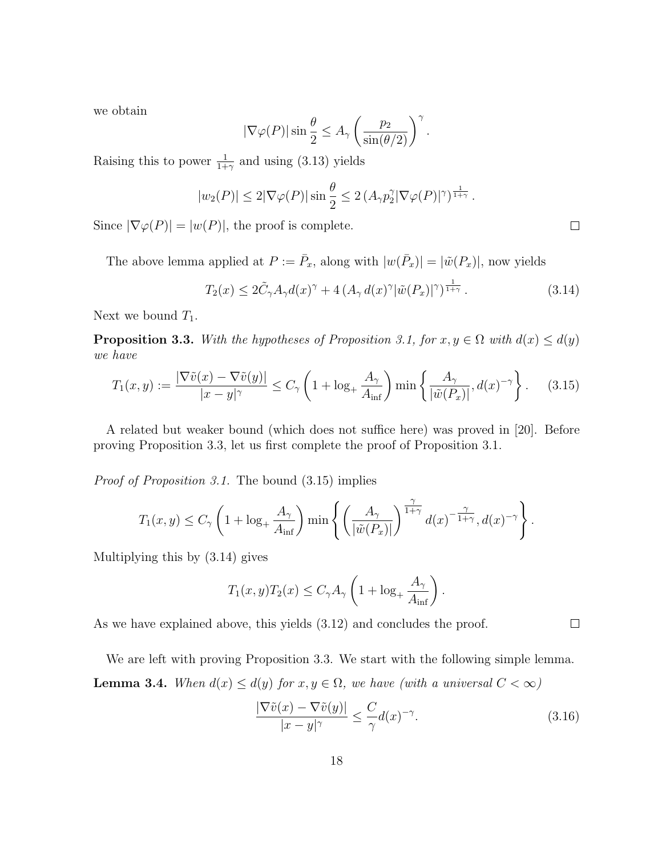we obtain

$$
|\nabla \varphi(P)| \sin \frac{\theta}{2} \le A_{\gamma} \left( \frac{p_2}{\sin(\theta/2)} \right)^{\gamma}.
$$

Raising this to power  $\frac{1}{1+\gamma}$  and using (3.13) yields

$$
|w_2(P)| \le 2|\nabla \varphi(P)| \sin \frac{\theta}{2} \le 2 (A_\gamma p_2^{\gamma} |\nabla \varphi(P)|^{\gamma})^{\frac{1}{1+\gamma}}.
$$

Since  $|\nabla \varphi(P)| = |w(P)|$ , the proof is complete.

The above lemma applied at  $P := \overline{P}_x$ , along with  $|w(\overline{P}_x)| = |\tilde{w}(P_x)|$ , now yields

$$
T_2(x) \le 2\tilde{C}_{\gamma}A_{\gamma}d(x)^{\gamma} + 4\left(A_{\gamma}d(x)^{\gamma}|\tilde{w}(P_x)|^{\gamma}\right)^{\frac{1}{1+\gamma}}.
$$
\n(3.14)

Next we bound  $T_1$ .

**Proposition 3.3.** With the hypotheses of Proposition 3.1, for  $x, y \in \Omega$  with  $d(x) \leq d(y)$ we have

$$
T_1(x,y) := \frac{|\nabla \tilde{v}(x) - \nabla \tilde{v}(y)|}{|x - y|^{\gamma}} \le C_{\gamma} \left( 1 + \log_+ \frac{A_{\gamma}}{A_{\inf}} \right) \min \left\{ \frac{A_{\gamma}}{|\tilde{w}(P_x)|}, d(x)^{-\gamma} \right\}.
$$
 (3.15)

A related but weaker bound (which does not suffice here) was proved in [20]. Before proving Proposition 3.3, let us first complete the proof of Proposition 3.1.

Proof of Proposition 3.1. The bound (3.15) implies

$$
T_1(x,y)\leq C_\gamma\left(1+\log_+\frac{A_\gamma}{A_{\inf}}\right)\min\left\{\left(\frac{A_\gamma}{|\tilde{w}(P_x)|}\right)^{\frac{\gamma}{1+\gamma}}d(x)^{-\frac{\gamma}{1+\gamma}},d(x)^{-\gamma}\right\}.
$$

Multiplying this by (3.14) gives

$$
T_1(x, y)T_2(x) \le C_\gamma A_\gamma \left(1 + \log_+ \frac{A_\gamma}{A_{\inf}}\right).
$$

As we have explained above, this yields (3.12) and concludes the proof.

We are left with proving Proposition 3.3. We start with the following simple lemma. **Lemma 3.4.** When  $d(x) \leq d(y)$  for  $x, y \in \Omega$ , we have (with a universal  $C < \infty$ )

$$
\frac{|\nabla \tilde{v}(x) - \nabla \tilde{v}(y)|}{|x - y|^{\gamma}} \le \frac{C}{\gamma} d(x)^{-\gamma}.
$$
\n(3.16)

 $\Box$ 

 $\Box$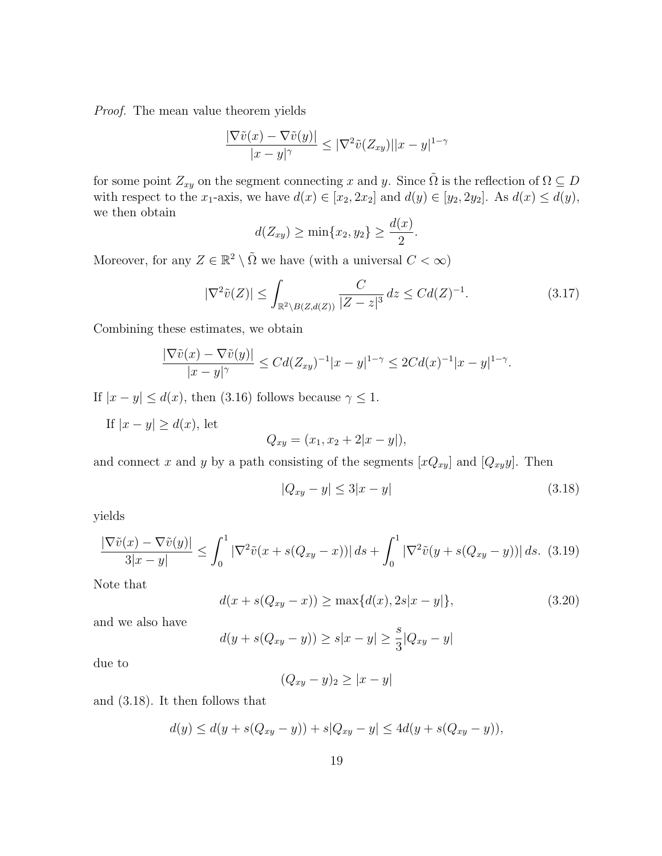Proof. The mean value theorem yields

$$
\frac{|\nabla \tilde{v}(x) - \nabla \tilde{v}(y)|}{|x - y|^{\gamma}} \leq |\nabla^2 \tilde{v}(Z_{xy})||x - y|^{1 - \gamma}
$$

for some point  $Z_{xy}$  on the segment connecting x and y. Since  $\tilde{\Omega}$  is the reflection of  $\Omega \subseteq D$ with respect to the x<sub>1</sub>-axis, we have  $d(x) \in [x_2, 2x_2]$  and  $d(y) \in [y_2, 2y_2]$ . As  $d(x) \leq d(y)$ , we then obtain

$$
d(Z_{xy}) \ge \min\{x_2, y_2\} \ge \frac{d(x)}{2}.
$$

Moreover, for any  $Z \in \mathbb{R}^2 \setminus \tilde{\Omega}$  we have (with a universal  $C < \infty$ )

$$
|\nabla^2 \tilde{v}(Z)| \le \int_{\mathbb{R}^2 \setminus B(Z,d(Z))} \frac{C}{|Z - z|^3} \, dz \le C d(Z)^{-1}.\tag{3.17}
$$

Combining these estimates, we obtain

$$
\frac{|\nabla \tilde{v}(x) - \nabla \tilde{v}(y)|}{|x - y|^{\gamma}} \le C d (Z_{xy})^{-1} |x - y|^{1 - \gamma} \le 2C d(x)^{-1} |x - y|^{1 - \gamma}.
$$

If  $|x - y| \le d(x)$ , then (3.16) follows because  $\gamma \le 1$ .

If  $|x - y| \ge d(x)$ , let

$$
Q_{xy} = (x_1, x_2 + 2|x - y|),
$$

and connect x and y by a path consisting of the segments  $[xQ_{xy}]$  and  $[Q_{xy}y]$ . Then

$$
|Q_{xy} - y| \le 3|x - y| \tag{3.18}
$$

yields

$$
\frac{|\nabla \tilde{v}(x) - \nabla \tilde{v}(y)|}{3|x - y|} \le \int_0^1 |\nabla^2 \tilde{v}(x + s(Q_{xy} - x))| ds + \int_0^1 |\nabla^2 \tilde{v}(y + s(Q_{xy} - y))| ds. \tag{3.19}
$$

Note that

$$
d(x + s(Q_{xy} - x)) \ge \max\{d(x), 2s|x - y|\},\tag{3.20}
$$

and we also have

$$
d(y + s(Q_{xy} - y)) \ge s|x - y| \ge \frac{s}{3}|Q_{xy} - y|
$$

due to

$$
(Q_{xy}-y)_2\geq |x-y|
$$

and (3.18). It then follows that

$$
d(y) \le d(y + s(Q_{xy} - y)) + s|Q_{xy} - y| \le 4d(y + s(Q_{xy} - y)),
$$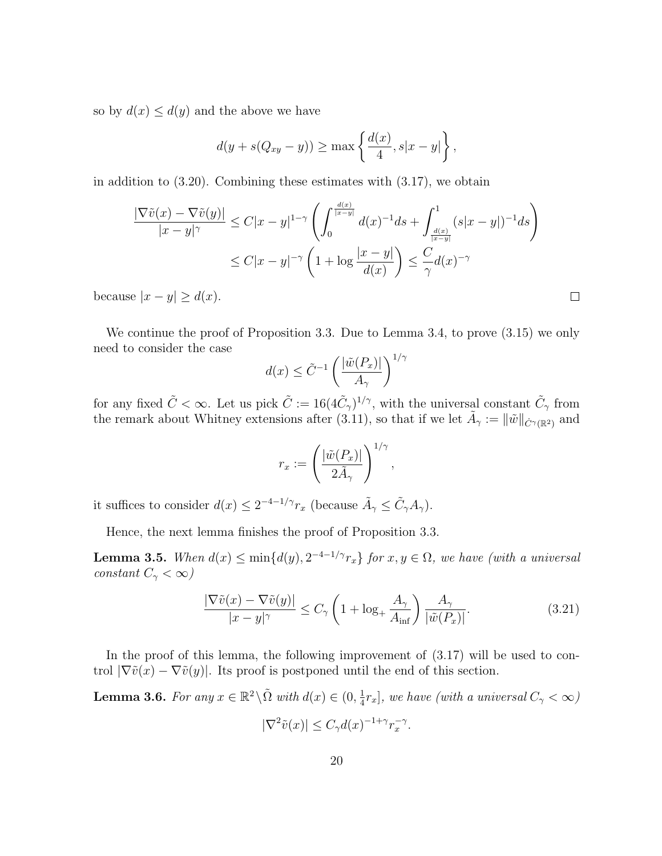so by  $d(x) \leq d(y)$  and the above we have

$$
d(y + s(Q_{xy} - y)) \ge \max\left\{\frac{d(x)}{4}, s|x - y|\right\},\,
$$

in addition to (3.20). Combining these estimates with (3.17), we obtain

$$
\frac{|\nabla \tilde{v}(x) - \nabla \tilde{v}(y)|}{|x - y|^{\gamma}} \le C|x - y|^{1 - \gamma} \left( \int_0^{\frac{d(x)}{|x - y|}} d(x)^{-1} ds + \int_{\frac{d(x)}{|x - y|}}^1 (s|x - y|)^{-1} ds \right)
$$
  

$$
\le C|x - y|^{-\gamma} \left( 1 + \log \frac{|x - y|}{d(x)} \right) \le \frac{C}{\gamma} d(x)^{-\gamma}
$$

because  $|x - y| \ge d(x)$ .

We continue the proof of Proposition 3.3. Due to Lemma 3.4, to prove (3.15) we only need to consider the case

$$
d(x) \le \tilde{C}^{-1} \left( \frac{|\tilde{w}(P_x)|}{A_\gamma} \right)^{1/\gamma}
$$

for any fixed  $\tilde{C} < \infty$ . Let us pick  $\tilde{C} := 16(4\tilde{C}_{\gamma})^{1/\gamma}$ , with the universal constant  $\tilde{C}_{\gamma}$  from the remark about Whitney extensions after (3.11), so that if we let  $\tilde{A}_{\gamma} := \|\tilde{w}\|_{\dot{C}^{\gamma}(\mathbb{R}^2)}$  and

$$
r_x := \left(\frac{|\tilde{w}(P_x)|}{2\tilde{A}_{\gamma}}\right)^{1/\gamma},
$$

it suffices to consider  $d(x) \leq 2^{-4-1/\gamma} r_x$  (because  $\tilde{A}_{\gamma} \leq \tilde{C}_{\gamma} A_{\gamma}$ ).

Hence, the next lemma finishes the proof of Proposition 3.3.

**Lemma 3.5.** When  $d(x) \le \min\{d(y), 2^{-4-1/\gamma}r_x\}$  for  $x, y \in \Omega$ , we have (with a universal constant  $C_{\gamma} < \infty$ )

$$
\frac{|\nabla \tilde{v}(x) - \nabla \tilde{v}(y)|}{|x - y|^{\gamma}} \le C_{\gamma} \left( 1 + \log_{+} \frac{A_{\gamma}}{A_{\inf}} \right) \frac{A_{\gamma}}{|\tilde{w}(P_x)|}.
$$
\n(3.21)

 $\Box$ 

In the proof of this lemma, the following improvement of (3.17) will be used to control  $|\nabla \tilde{v}(x) - \nabla \tilde{v}(y)|$ . Its proof is postponed until the end of this section.

**Lemma 3.6.** For any 
$$
x \in \mathbb{R}^2 \setminus \tilde{\Omega}
$$
 with  $d(x) \in (0, \frac{1}{4}r_x]$ , we have (with a universal  $C_{\gamma} < \infty$ )  

$$
|\nabla^2 \tilde{v}(x)| \le C_{\gamma} d(x)^{-1+\gamma} r_x^{-\gamma}.
$$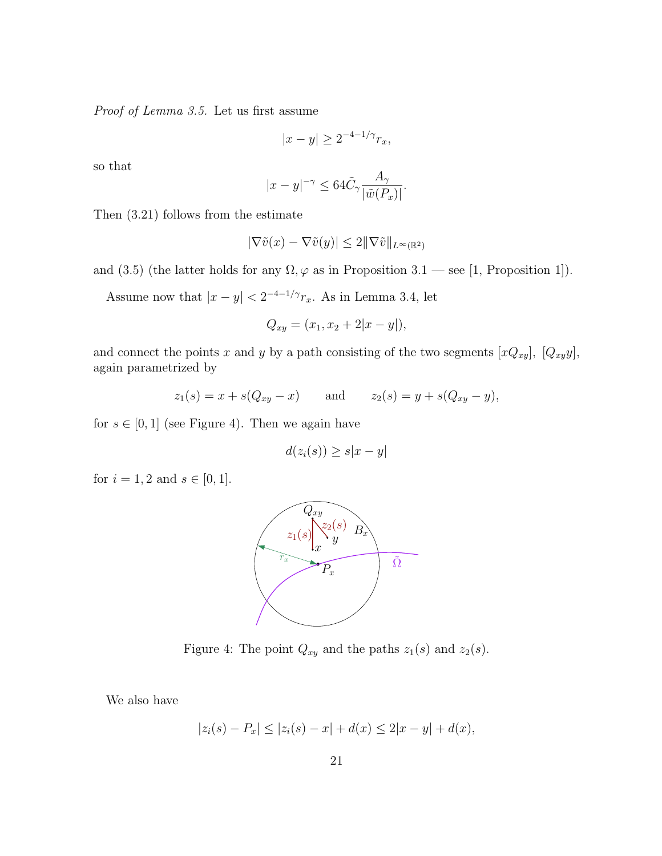Proof of Lemma 3.5. Let us first assume

$$
|x-y| \ge 2^{-4-1/\gamma} r_x,
$$

so that

$$
|x - y|^{-\gamma} \le 64\tilde{C}_{\gamma} \frac{A_{\gamma}}{|\tilde{w}(P_x)|}.
$$

Then (3.21) follows from the estimate

$$
|\nabla \tilde{v}(x) - \nabla \tilde{v}(y)| \le 2 ||\nabla \tilde{v}||_{L^{\infty}(\mathbb{R}^2)}
$$

and (3.5) (the latter holds for any  $\Omega$ ,  $\varphi$  as in Proposition 3.1 — see [1, Proposition 1]).

Assume now that  $|x - y| < 2^{-4-1/\gamma} r_x$ . As in Lemma 3.4, let

$$
Q_{xy} = (x_1, x_2 + 2|x - y|),
$$

and connect the points x and y by a path consisting of the two segments  $[xQ_{xy}]$ ,  $[Q_{xy}y]$ , again parametrized by

$$
z_1(s) = x + s(Q_{xy} - x)
$$
 and  $z_2(s) = y + s(Q_{xy} - y)$ ,

for  $s \in [0, 1]$  (see Figure 4). Then we again have

$$
d(z_i(s)) \ge s|x - y|
$$

for  $i = 1, 2$  and  $s \in [0, 1]$ .



Figure 4: The point  $Q_{xy}$  and the paths  $z_1(s)$  and  $z_2(s)$ .

We also have

$$
|z_i(s) - P_x| \le |z_i(s) - x| + d(x) \le 2|x - y| + d(x),
$$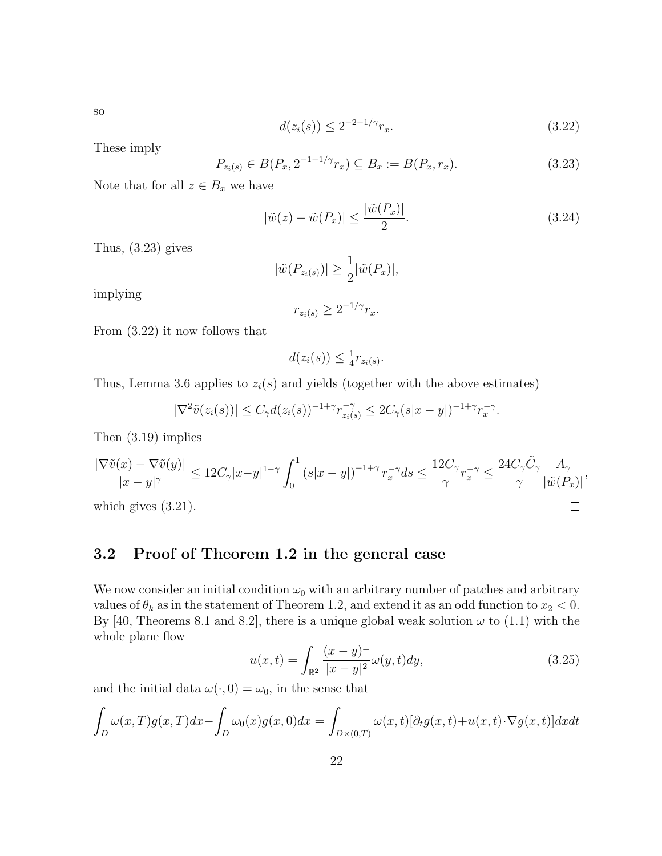$d(z_i(s)) \leq 2^{-2-1/\gamma} r_x.$  (3.22)

These imply

$$
P_{z_i(s)} \in B(P_x, 2^{-1-1/\gamma} r_x) \subseteq B_x := B(P_x, r_x). \tag{3.23}
$$

Note that for all  $z \in B_x$  we have

$$
|\tilde{w}(z) - \tilde{w}(P_x)| \le \frac{|\tilde{w}(P_x)|}{2}.\tag{3.24}
$$

Thus, (3.23) gives

$$
|\tilde{w}(P_{z_i(s)})| \ge \frac{1}{2} |\tilde{w}(P_x)|,
$$

implying

$$
r_{z_i(s)} \ge 2^{-1/\gamma} r_x.
$$

From (3.22) it now follows that

$$
d(z_i(s)) \leq \frac{1}{4}r_{z_i(s)}.
$$

Thus, Lemma 3.6 applies to  $z_i(s)$  and yields (together with the above estimates)

$$
|\nabla^2 \tilde{v}(z_i(s))| \leq C_\gamma d(z_i(s))^{-1+\gamma} r_{z_i(s)}^{-\gamma} \leq 2C_\gamma (s|x-y|)^{-1+\gamma} r_x^{-\gamma}.
$$

Then (3.19) implies

$$
\frac{|\nabla \tilde{v}(x) - \nabla \tilde{v}(y)|}{|x - y|^{\gamma}} \le 12C_{\gamma}|x - y|^{1 - \gamma} \int_0^1 (s|x - y|)^{-1 + \gamma} r_x^{-\gamma} ds \le \frac{12C_{\gamma}}{\gamma} r_x^{-\gamma} \le \frac{24C_{\gamma}\tilde{C}_{\gamma}}{\gamma} \frac{A_{\gamma}}{|\tilde{w}(P_x)|},
$$
\nwhich gives (3.21).

which gives (3.21).

### 3.2 Proof of Theorem 1.2 in the general case

We now consider an initial condition  $\omega_0$  with an arbitrary number of patches and arbitrary values of  $\theta_k$  as in the statement of Theorem 1.2, and extend it as an odd function to  $x_2 < 0$ . By [40, Theorems 8.1 and 8.2], there is a unique global weak solution  $\omega$  to (1.1) with the whole plane flow

$$
u(x,t) = \int_{\mathbb{R}^2} \frac{(x-y)^{\perp}}{|x-y|^2} \omega(y,t) dy,
$$
\n(3.25)

and the initial data  $\omega(\cdot, 0) = \omega_0$ , in the sense that

$$
\int_{D} \omega(x,T)g(x,T)dx - \int_{D} \omega_0(x)g(x,0)dx = \int_{D \times (0,T)} \omega(x,t)[\partial_t g(x,t) + u(x,t)\cdot \nabla g(x,t)]dxdt
$$

so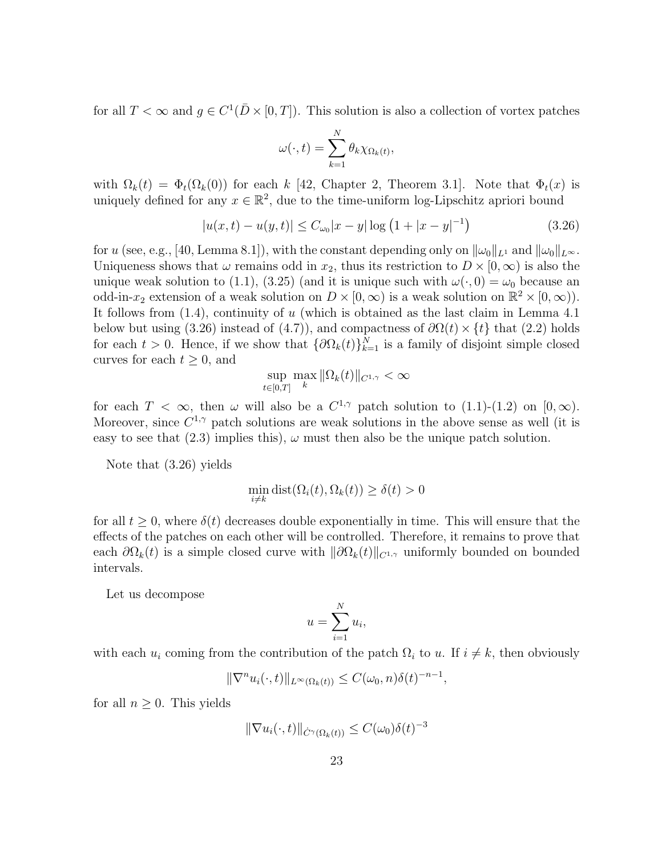for all  $T < \infty$  and  $g \in C^1(\bar{D} \times [0,T])$ . This solution is also a collection of vortex patches

$$
\omega(\cdot,t) = \sum_{k=1}^N \theta_k \chi_{\Omega_k(t)},
$$

with  $\Omega_k(t) = \Phi_t(\Omega_k(0))$  for each k [42, Chapter 2, Theorem 3.1]. Note that  $\Phi_t(x)$  is uniquely defined for any  $x \in \mathbb{R}^2$ , due to the time-uniform log-Lipschitz apriori bound

$$
|u(x,t) - u(y,t)| \le C_{\omega_0}|x - y| \log (1 + |x - y|^{-1})
$$
\n(3.26)

for u (see, e.g., [40, Lemma 8.1]), with the constant depending only on  $\|\omega_0\|_{L^1}$  and  $\|\omega_0\|_{L^{\infty}}$ . Uniqueness shows that  $\omega$  remains odd in  $x_2$ , thus its restriction to  $D \times [0,\infty)$  is also the unique weak solution to (1.1), (3.25) (and it is unique such with  $\omega(\cdot, 0) = \omega_0$  because an odd-in- $x_2$  extension of a weak solution on  $D \times [0, \infty)$  is a weak solution on  $\mathbb{R}^2 \times [0, \infty)$ . It follows from  $(1.4)$ , continuity of u (which is obtained as the last claim in Lemma 4.1) below but using (3.26) instead of (4.7)), and compactness of  $\partial \Omega(t) \times \{t\}$  that (2.2) holds for each  $t > 0$ . Hence, if we show that  $\{\partial \Omega_k(t)\}_{k=1}^N$  is a family of disjoint simple closed curves for each  $t \geq 0$ , and

$$
\sup_{t\in[0,T]}\max_{k}\|\Omega_k(t)\|_{C^{1,\gamma}}<\infty
$$

for each  $T < \infty$ , then  $\omega$  will also be a  $C^{1,\gamma}$  patch solution to  $(1.1)-(1.2)$  on  $[0,\infty)$ . Moreover, since  $C^{1,\gamma}$  patch solutions are weak solutions in the above sense as well (it is easy to see that (2.3) implies this),  $\omega$  must then also be the unique patch solution.

Note that (3.26) yields

$$
\min_{i \neq k} \text{dist}(\Omega_i(t), \Omega_k(t)) \ge \delta(t) > 0
$$

for all  $t \geq 0$ , where  $\delta(t)$  decreases double exponentially in time. This will ensure that the effects of the patches on each other will be controlled. Therefore, it remains to prove that each  $\partial\Omega_k(t)$  is a simple closed curve with  $\|\partial\Omega_k(t)\|_{C^{1,\gamma}}$  uniformly bounded on bounded intervals.

Let us decompose

$$
u = \sum_{i=1}^{N} u_i,
$$

with each  $u_i$  coming from the contribution of the patch  $\Omega_i$  to u. If  $i \neq k$ , then obviously

$$
\|\nabla^n u_i(\cdot,t)\|_{L^\infty(\Omega_k(t))} \le C(\omega_0,n)\delta(t)^{-n-1},
$$

for all  $n \geq 0$ . This yields

$$
\|\nabla u_i(\cdot,t)\|_{\dot{C}^{\gamma}(\Omega_k(t))} \leq C(\omega_0)\delta(t)^{-3}
$$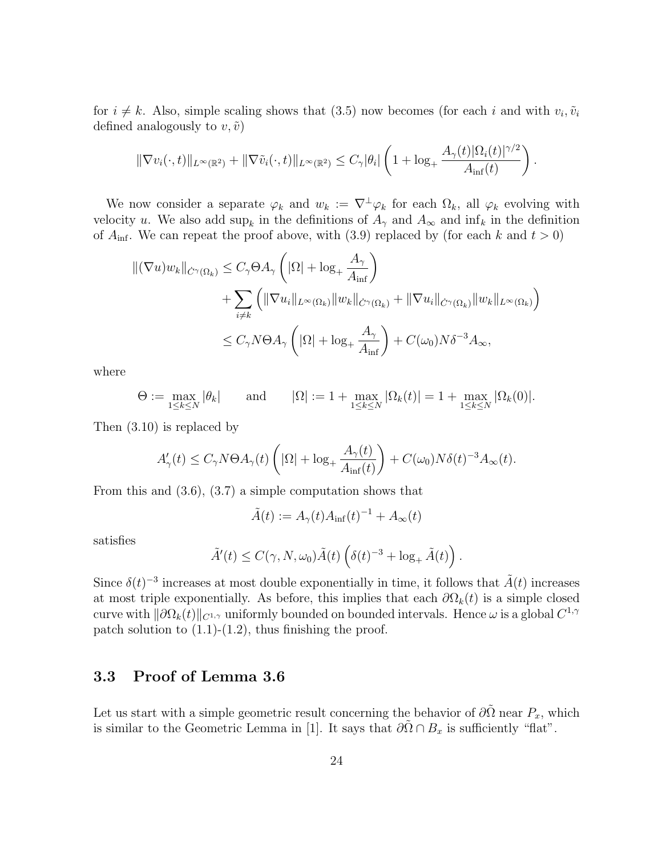for  $i \neq k$ . Also, simple scaling shows that (3.5) now becomes (for each i and with  $v_i$ ,  $\tilde{v}_i$ defined analogously to  $v, \tilde{v}$ )

$$
\|\nabla v_i(\cdot,t)\|_{L^{\infty}(\mathbb{R}^2)} + \|\nabla \tilde{v}_i(\cdot,t)\|_{L^{\infty}(\mathbb{R}^2)} \leq C_{\gamma}|\theta_i| \left(1 + \log_+ \frac{A_{\gamma}(t)|\Omega_i(t)|^{\gamma/2}}{A_{\inf}(t)}\right).
$$

We now consider a separate  $\varphi_k$  and  $w_k := \nabla^{\perp} \varphi_k$  for each  $\Omega_k$ , all  $\varphi_k$  evolving with velocity u. We also add  $\sup_k$  in the definitions of  $A_\gamma$  and  $A_\infty$  and  $\inf_k$  in the definition of  $A_{\text{inf}}$ . We can repeat the proof above, with (3.9) replaced by (for each k and  $t > 0$ )

$$
\begin{aligned} ||(\nabla u)w_{k}||_{\dot{C}^{\gamma}(\Omega_{k})} &\leq C_{\gamma}\Theta A_{\gamma}\left(|\Omega|+\log_{+}\frac{A_{\gamma}}{A_{\inf}}\right) \\ &+ \sum_{i\neq k}\left(\|\nabla u_{i}\|_{L^{\infty}(\Omega_{k})}\|w_{k}\|_{\dot{C}^{\gamma}(\Omega_{k})}+\|\nabla u_{i}\|_{\dot{C}^{\gamma}(\Omega_{k})}\|w_{k}\|_{L^{\infty}(\Omega_{k})}\right) \\ &\leq C_{\gamma}N\Theta A_{\gamma}\left(|\Omega|+\log_{+}\frac{A_{\gamma}}{A_{\inf}}\right)+C(\omega_{0})N\delta^{-3}A_{\infty}, \end{aligned}
$$

where

$$
\Theta := \max_{1 \le k \le N} |\theta_k| \quad \text{and} \quad |\Omega| := 1 + \max_{1 \le k \le N} |\Omega_k(t)| = 1 + \max_{1 \le k \le N} |\Omega_k(0)|.
$$

Then (3.10) is replaced by

$$
A'_{\gamma}(t) \le C_{\gamma}N\Theta A_{\gamma}(t)\left( |\Omega| + \log_{+} \frac{A_{\gamma}(t)}{A_{\inf}(t)} \right) + C(\omega_0)N\delta(t)^{-3}A_{\infty}(t).
$$

From this and (3.6), (3.7) a simple computation shows that

$$
\tilde{A}(t) := A_{\gamma}(t) A_{\inf}(t)^{-1} + A_{\infty}(t)
$$

satisfies

$$
\tilde{A}'(t) \le C(\gamma, N, \omega_0) \tilde{A}(t) \left(\delta(t)^{-3} + \log_+ \tilde{A}(t)\right).
$$

Since  $\delta(t)^{-3}$  increases at most double exponentially in time, it follows that  $\tilde{A}(t)$  increases at most triple exponentially. As before, this implies that each  $\partial\Omega_k(t)$  is a simple closed curve with  $\|\partial\Omega_k(t)\|_{C^{1,\gamma}}$  uniformly bounded on bounded intervals. Hence  $\omega$  is a global  $C^{1,\gamma}$ patch solution to  $(1.1)-(1.2)$ , thus finishing the proof.

### 3.3 Proof of Lemma 3.6

Let us start with a simple geometric result concerning the behavior of  $\partial\tilde{\Omega}$  near  $P_x$ , which is similar to the Geometric Lemma in [1]. It says that  $\partial \tilde{\Omega} \cap B_x$  is sufficiently "flat".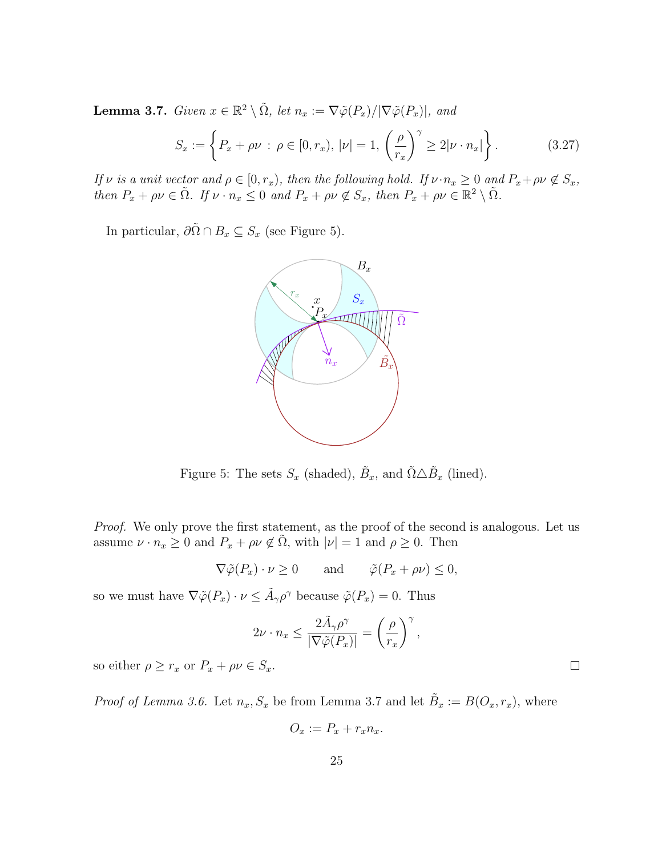**Lemma 3.7.** Given  $x \in \mathbb{R}^2 \setminus \tilde{\Omega}$ , let  $n_x := \nabla \tilde{\varphi}(P_x)/|\nabla \tilde{\varphi}(P_x)|$ , and

$$
S_x := \left\{ P_x + \rho \nu : \rho \in [0, r_x), \ |\nu| = 1, \left( \frac{\rho}{r_x} \right)^{\gamma} \ge 2|\nu \cdot n_x| \right\}.
$$
 (3.27)

If  $\nu$  is a unit vector and  $\rho \in [0, r_x)$ , then the following hold. If  $\nu \cdot n_x \geq 0$  and  $P_x + \rho \nu \notin S_x$ , then  $P_x + \rho \nu \in \tilde{\Omega}$ . If  $\nu \cdot n_x \leq 0$  and  $P_x + \rho \nu \notin S_x$ , then  $P_x + \rho \nu \in \mathbb{R}^2 \setminus \tilde{\Omega}$ .

In particular,  $\partial \tilde{\Omega} \cap B_x \subseteq S_x$  (see Figure 5).



Figure 5: The sets  $S_x$  (shaded),  $\tilde{B}_x$ , and  $\tilde{\Omega} \triangle \tilde{B}_x$  (lined).

Proof. We only prove the first statement, as the proof of the second is analogous. Let us assume  $\nu \cdot n_x \geq 0$  and  $P_x + \rho \nu \notin \tilde{\Omega}$ , with  $|\nu| = 1$  and  $\rho \geq 0$ . Then

$$
\nabla \tilde{\varphi}(P_x) \cdot \nu \ge 0 \quad \text{and} \quad \tilde{\varphi}(P_x + \rho \nu) \le 0,
$$

so we must have  $\nabla \tilde{\varphi}(P_x) \cdot \nu \leq \tilde{A}_{\gamma} \rho^{\gamma}$  because  $\tilde{\varphi}(P_x) = 0$ . Thus

$$
2\nu \cdot n_x \le \frac{2\tilde{A}_{\gamma}\rho^{\gamma}}{|\nabla \tilde{\varphi}(P_x)|} = \left(\frac{\rho}{r_x}\right)^{\gamma},\,
$$

 $\Box$ 

so either  $\rho \geq r_x$  or  $P_x + \rho \nu \in S_x$ .

*Proof of Lemma 3.6.* Let  $n_x$ ,  $S_x$  be from Lemma 3.7 and let  $\tilde{B}_x := B(O_x, r_x)$ , where

$$
O_x := P_x + r_x n_x.
$$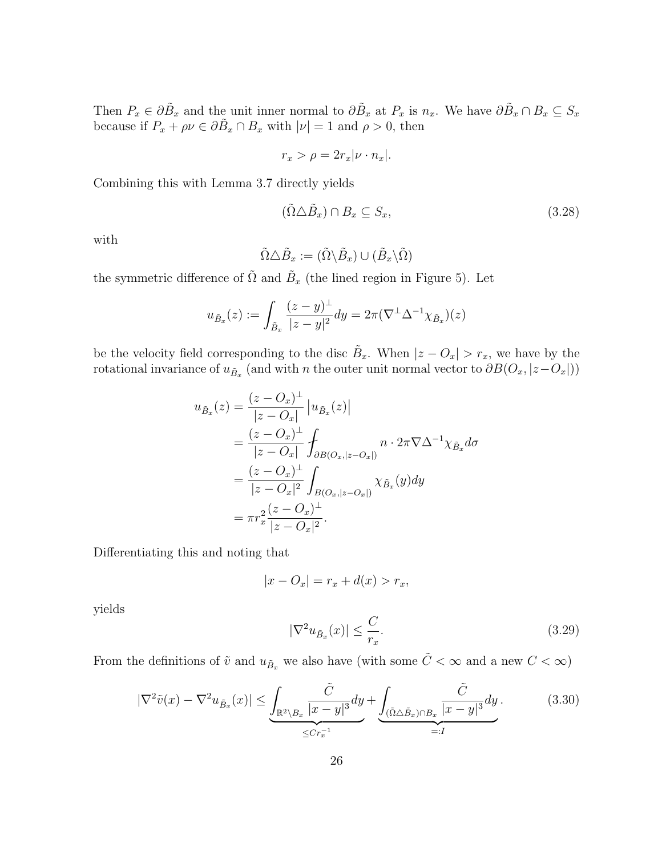Then  $P_x \in \partial \tilde{B}_x$  and the unit inner normal to  $\partial \tilde{B}_x$  at  $P_x$  is  $n_x$ . We have  $\partial \tilde{B}_x \cap B_x \subseteq S_x$ because if  $P_x + \rho \nu \in \partial \tilde{B}_x \cap B_x$  with  $|\nu| = 1$  and  $\rho > 0$ , then

$$
r_x > \rho = 2r_x|\nu \cdot n_x|.
$$

Combining this with Lemma 3.7 directly yields

$$
(\tilde{\Omega}\triangle\tilde{B}_x)\cap B_x\subseteq S_x,\tag{3.28}
$$

with

$$
\tilde{\Omega}\triangle\tilde{B}_x:=(\tilde{\Omega}\backslash\tilde{B}_x)\cup(\tilde{B}_x\backslash\tilde{\Omega})
$$

the symmetric difference of  $\tilde{\Omega}$  and  $\tilde{B}_x$  (the lined region in Figure 5). Let

$$
u_{\tilde{B}_x}(z) := \int_{\tilde{B}_x} \frac{(z-y)^{\perp}}{|z-y|^2} dy = 2\pi (\nabla^{\perp} \Delta^{-1} \chi_{\tilde{B}_x})(z)
$$

be the velocity field corresponding to the disc  $\tilde{B}_x$ . When  $|z - O_x| > r_x$ , we have by the rotational invariance of  $u_{\tilde{B}_x}$  (and with n the outer unit normal vector to  $\partial B(O_x,|z-O_x|))$ 

$$
u_{\tilde{B}_x}(z) = \frac{(z - O_x)^{\perp}}{|z - O_x|} |u_{\tilde{B}_x}(z)|
$$
  
= 
$$
\frac{(z - O_x)^{\perp}}{|z - O_x|} \int_{\partial B(O_x, |z - O_x|)} n \cdot 2\pi \nabla \Delta^{-1} \chi_{\tilde{B}_x} d\sigma
$$
  
= 
$$
\frac{(z - O_x)^{\perp}}{|z - O_x|^2} \int_{B(O_x, |z - O_x|)} \chi_{\tilde{B}_x}(y) dy
$$
  
= 
$$
\pi r_x^2 \frac{(z - O_x)^{\perp}}{|z - O_x|^2}.
$$

Differentiating this and noting that

$$
|x - O_x| = r_x + d(x) > r_x,
$$

yields

$$
|\nabla^2 u_{\tilde{B}_x}(x)| \le \frac{C}{r_x}.\tag{3.29}
$$

From the definitions of  $\tilde{v}$  and  $u_{\tilde{B}_x}$  we also have (with some  $\tilde{C} < \infty$  and a new  $C < \infty$ )

$$
|\nabla^2 \tilde{v}(x) - \nabla^2 u_{\tilde{B}_x}(x)| \le \underbrace{\int_{\mathbb{R}^2 \backslash B_x} \frac{\tilde{C}}{|x - y|^3} dy}_{\le Cr_x^{-1}} + \underbrace{\int_{(\tilde{\Omega} \triangle \tilde{B}_x) \cap B_x} \frac{\tilde{C}}{|x - y|^3} dy}_{=:I}.
$$
\n(3.30)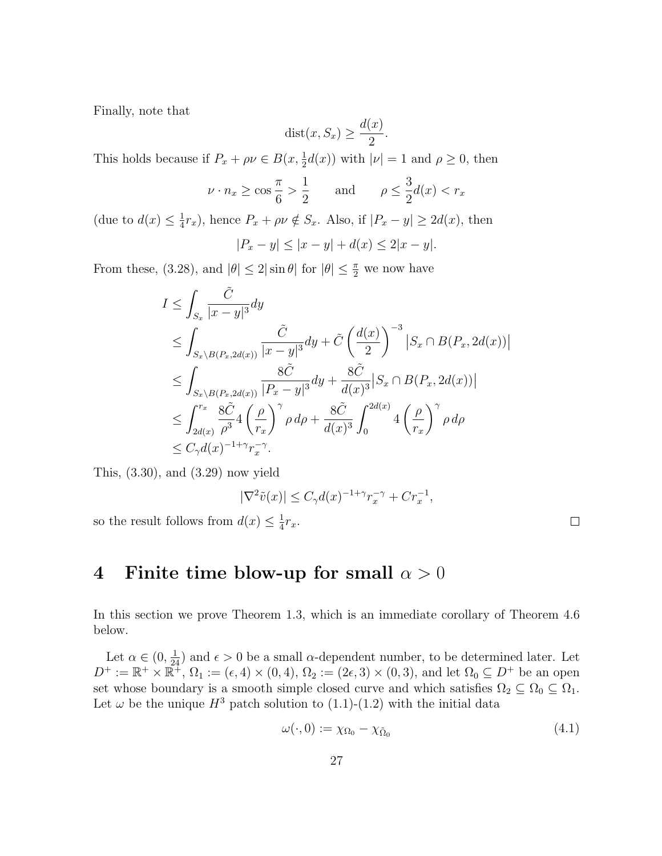Finally, note that

$$
dist(x, S_x) \ge \frac{d(x)}{2}.
$$

This holds because if  $P_x + \rho \nu \in B(x, \frac{1}{2}d(x))$  with  $|\nu| = 1$  and  $\rho \ge 0$ , then

$$
\nu \cdot n_x \ge \cos \frac{\pi}{6} > \frac{1}{2} \quad \text{and} \quad \rho \le \frac{3}{2}d(x) < r_x
$$

(due to  $d(x) \leq \frac{1}{4}$  $\frac{1}{4}r_x$ , hence  $P_x + \rho \nu \notin S_x$ . Also, if  $|P_x - y| \ge 2d(x)$ , then

$$
|P_x - y| \le |x - y| + d(x) \le 2|x - y|.
$$

From these, (3.28), and  $|\theta| \le 2 |\sin \theta|$  for  $|\theta| \le \frac{\pi}{2}$  we now have

$$
I \leq \int_{S_x} \frac{\tilde{C}}{|x - y|^3} dy
$$
  
\n
$$
\leq \int_{S_x \setminus B(P_x, 2d(x))} \frac{\tilde{C}}{|x - y|^3} dy + \tilde{C} \left(\frac{d(x)}{2}\right)^{-3} |S_x \cap B(P_x, 2d(x))|
$$
  
\n
$$
\leq \int_{S_x \setminus B(P_x, 2d(x))} \frac{8\tilde{C}}{|P_x - y|^3} dy + \frac{8\tilde{C}}{d(x)^3} |S_x \cap B(P_x, 2d(x))|
$$
  
\n
$$
\leq \int_{2d(x)}^{r_x} \frac{8\tilde{C}}{\rho^3} 4 \left(\frac{\rho}{r_x}\right)^{\gamma} \rho d\rho + \frac{8\tilde{C}}{d(x)^3} \int_0^{2d(x)} 4 \left(\frac{\rho}{r_x}\right)^{\gamma} \rho d\rho
$$
  
\n
$$
\leq C_\gamma d(x)^{-1+\gamma} r_x^{-\gamma}.
$$

This, (3.30), and (3.29) now yield

$$
|\nabla^2 \tilde{v}(x)| \le C_\gamma d(x)^{-1+\gamma} r_x^{-\gamma} + Cr_x^{-1},
$$

so the result follows from  $d(x) \leq \frac{1}{4}$  $rac{1}{4}r_x$ .

# 4 Finite time blow-up for small  $\alpha > 0$

In this section we prove Theorem 1.3, which is an immediate corollary of Theorem 4.6 below.

Let  $\alpha \in (0, \frac{1}{24})$  and  $\epsilon > 0$  be a small  $\alpha$ -dependent number, to be determined later. Let  $D^+ := \mathbb{R}^+ \times \mathbb{R}^+$ ,  $\Omega_1 := (\epsilon, 4) \times (0, 4)$ ,  $\Omega_2 := (2\epsilon, 3) \times (0, 3)$ , and let  $\Omega_0 \subseteq D^+$  be an open set whose boundary is a smooth simple closed curve and which satisfies  $\Omega_2 \subseteq \Omega_0 \subseteq \Omega_1$ . Let  $\omega$  be the unique  $H^3$  patch solution to (1.1)-(1.2) with the initial data

$$
\omega(\cdot,0) := \chi_{\Omega_0} - \chi_{\tilde{\Omega}_0} \tag{4.1}
$$

 $\Box$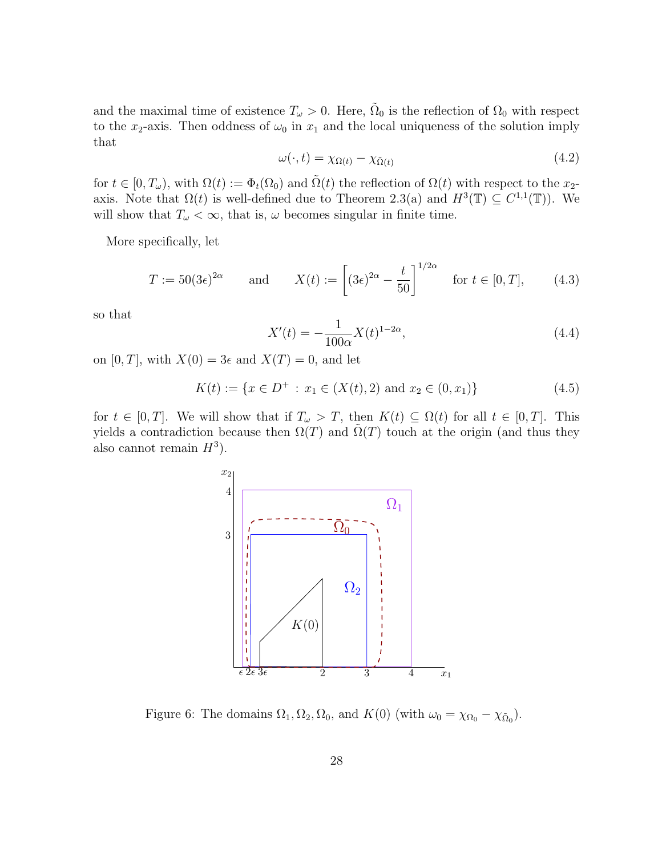and the maximal time of existence  $T_{\omega} > 0$ . Here,  $\tilde{\Omega}_0$  is the reflection of  $\Omega_0$  with respect to the x<sub>2</sub>-axis. Then oddness of  $\omega_0$  in  $x_1$  and the local uniqueness of the solution imply that

$$
\omega(\cdot, t) = \chi_{\Omega(t)} - \chi_{\tilde{\Omega}(t)} \tag{4.2}
$$

for  $t \in [0, T_{\omega})$ , with  $\Omega(t) := \Phi_t(\Omega_0)$  and  $\tilde{\Omega}(t)$  the reflection of  $\Omega(t)$  with respect to the  $x_2$ axis. Note that  $\Omega(t)$  is well-defined due to Theorem 2.3(a) and  $H^3(\mathbb{T}) \subseteq C^{1,1}(\mathbb{T})$ . We will show that  $T_{\omega} < \infty$ , that is,  $\omega$  becomes singular in finite time.

More specifically, let

$$
T := 50(3\epsilon)^{2\alpha} \qquad \text{and} \qquad X(t) := \left[ (3\epsilon)^{2\alpha} - \frac{t}{50} \right]^{1/2\alpha} \quad \text{for } t \in [0, T], \tag{4.3}
$$

so that

$$
X'(t) = -\frac{1}{100\alpha} X(t)^{1-2\alpha},\tag{4.4}
$$

on  $[0, T]$ , with  $X(0) = 3\epsilon$  and  $X(T) = 0$ , and let

$$
K(t) := \{ x \in D^+ : x_1 \in (X(t), 2) \text{ and } x_2 \in (0, x_1) \}
$$
\n
$$
(4.5)
$$

for  $t \in [0, T]$ . We will show that if  $T_{\omega} > T$ , then  $K(t) \subseteq \Omega(t)$  for all  $t \in [0, T]$ . This yields a contradiction because then  $\Omega(T)$  and  $\Omega(T)$  touch at the origin (and thus they also cannot remain  $H^3$ ).



Figure 6: The domains  $\Omega_1, \Omega_2, \Omega_0$ , and  $K(0)$  (with  $\omega_0 = \chi_{\Omega_0} - \chi_{\tilde{\Omega}_0}$ ).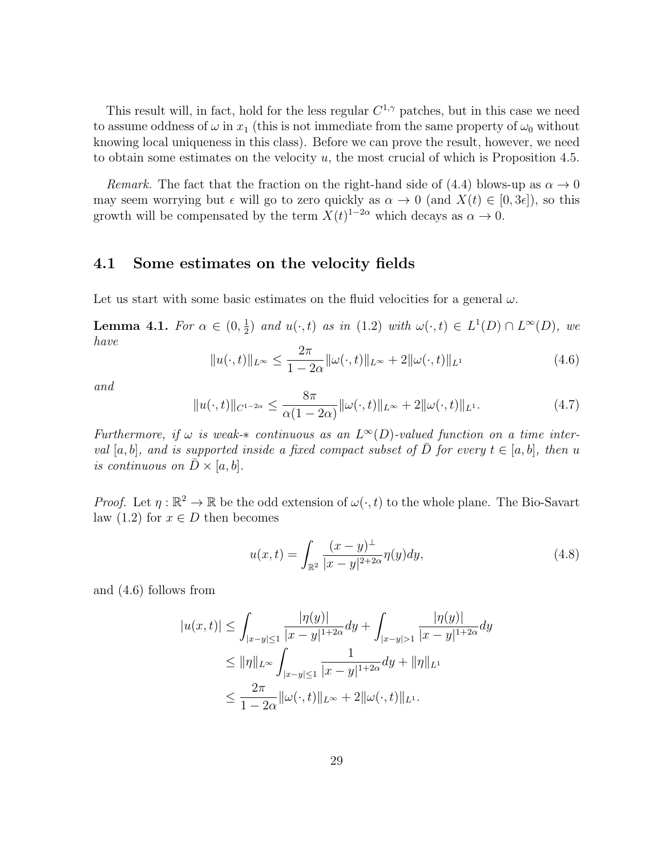This result will, in fact, hold for the less regular  $C^{1,\gamma}$  patches, but in this case we need to assume oddness of  $\omega$  in  $x_1$  (this is not immediate from the same property of  $\omega_0$  without knowing local uniqueness in this class). Before we can prove the result, however, we need to obtain some estimates on the velocity  $u$ , the most crucial of which is Proposition 4.5.

Remark. The fact that the fraction on the right-hand side of (4.4) blows-up as  $\alpha \to 0$ may seem worrying but  $\epsilon$  will go to zero quickly as  $\alpha \to 0$  (and  $X(t) \in [0, 3\epsilon]$ ), so this growth will be compensated by the term  $X(t)^{1-2\alpha}$  which decays as  $\alpha \to 0$ .

### 4.1 Some estimates on the velocity fields

Let us start with some basic estimates on the fluid velocities for a general  $\omega$ .

**Lemma 4.1.** For  $\alpha \in (0, \frac{1}{2})$  $\frac{1}{2}$  and  $u(\cdot, t)$  as in (1.2) with  $\omega(\cdot, t) \in L^1(D) \cap L^{\infty}(D)$ , we have

$$
||u(\cdot,t)||_{L^{\infty}} \le \frac{2\pi}{1-2\alpha} ||\omega(\cdot,t)||_{L^{\infty}} + 2||\omega(\cdot,t)||_{L^{1}}
$$
(4.6)

and

$$
||u(\cdot,t)||_{C^{1-2\alpha}} \le \frac{8\pi}{\alpha(1-2\alpha)} ||\omega(\cdot,t)||_{L^{\infty}} + 2||\omega(\cdot,t)||_{L^{1}}.
$$
 (4.7)

Furthermore, if  $\omega$  is weak- $*$  continuous as an  $L^{\infty}(D)$ -valued function on a time interval [a, b], and is supported inside a fixed compact subset of  $\overline{D}$  for every  $t \in [a, b]$ , then u is continuous on  $D \times [a, b]$ .

*Proof.* Let  $\eta : \mathbb{R}^2 \to \mathbb{R}$  be the odd extension of  $\omega(\cdot, t)$  to the whole plane. The Bio-Savart law (1.2) for  $x \in D$  then becomes

$$
u(x,t) = \int_{\mathbb{R}^2} \frac{(x-y)^{\perp}}{|x-y|^{2+2\alpha}} \eta(y) dy,
$$
 (4.8)

and (4.6) follows from

$$
|u(x,t)| \leq \int_{|x-y| \leq 1} \frac{|\eta(y)|}{|x-y|^{1+2\alpha}} dy + \int_{|x-y| > 1} \frac{|\eta(y)|}{|x-y|^{1+2\alpha}} dy
$$
  

$$
\leq ||\eta||_{L^{\infty}} \int_{|x-y| \leq 1} \frac{1}{|x-y|^{1+2\alpha}} dy + ||\eta||_{L^{1}}
$$
  

$$
\leq \frac{2\pi}{1-2\alpha} ||\omega(\cdot,t)||_{L^{\infty}} + 2||\omega(\cdot,t)||_{L^{1}}.
$$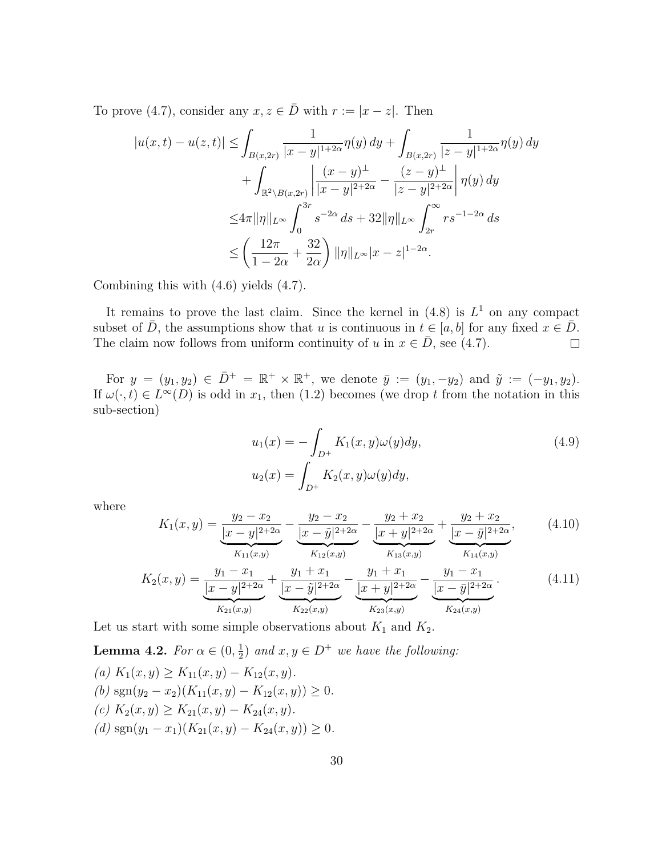To prove (4.7), consider any  $x, z \in \overline{D}$  with  $r := |x - z|$ . Then

$$
|u(x,t) - u(z,t)| \leq \int_{B(x,2r)} \frac{1}{|x-y|^{1+2\alpha}} \eta(y) \, dy + \int_{B(x,2r)} \frac{1}{|z-y|^{1+2\alpha}} \eta(y) \, dy + \int_{\mathbb{R}^2 \setminus B(x,2r)} \left| \frac{(x-y)^{\perp}}{|x-y|^{2+2\alpha}} - \frac{(z-y)^{\perp}}{|z-y|^{2+2\alpha}} \right| \eta(y) \, dy \leq 4\pi ||\eta||_{L^{\infty}} \int_0^{3r} s^{-2\alpha} \, ds + 32||\eta||_{L^{\infty}} \int_{2r}^{\infty} r s^{-1-2\alpha} \, ds \leq \left( \frac{12\pi}{1-2\alpha} + \frac{32}{2\alpha} \right) ||\eta||_{L^{\infty}} |x-z|^{1-2\alpha}.
$$

Combining this with (4.6) yields (4.7).

It remains to prove the last claim. Since the kernel in  $(4.8)$  is  $L<sup>1</sup>$  on any compact subset of  $\overline{D}$ , the assumptions show that u is continuous in  $t \in [a, b]$  for any fixed  $x \in \overline{D}$ .<br>The claim now follows from uniform continuity of u in  $x \in \overline{D}$ , see (4.7). The claim now follows from uniform continuity of u in  $x \in D$ , see (4.7).

For  $y = (y_1, y_2) \in \bar{D}^+ = \mathbb{R}^+ \times \mathbb{R}^+$ , we denote  $\bar{y} := (y_1, -y_2)$  and  $\tilde{y} := (-y_1, y_2)$ . If  $\omega(\cdot, t) \in L^{\infty}(D)$  is odd in  $x_1$ , then (1.2) becomes (we drop t from the notation in this sub-section)

$$
u_1(x) = -\int_{D^+} K_1(x, y)\omega(y)dy,
$$
  

$$
u_2(x) = \int_{D^+} K_2(x, y)\omega(y)dy,
$$
 (4.9)

where

$$
K_1(x,y) = \underbrace{\frac{y_2 - x_2}{|x - y|^{2+2\alpha}}}_{K_{11}(x,y)} - \underbrace{\frac{y_2 - x_2}{|x - \tilde{y}|^{2+2\alpha}}}_{K_{12}(x,y)} - \underbrace{\frac{y_2 + x_2}{|x + y|^{2+2\alpha}}}_{K_{13}(x,y)} + \underbrace{\frac{y_2 + x_2}{|x - \bar{y}|^{2+2\alpha}}}_{K_{14}(x,y)},
$$
(4.10)

$$
K_2(x,y) = \underbrace{\frac{y_1 - x_1}{|x - y|^{2+2\alpha}}}_{K_{21}(x,y)} + \underbrace{\frac{y_1 + x_1}{|x - \tilde{y}|^{2+2\alpha}}}_{K_{22}(x,y)} - \underbrace{\frac{y_1 + x_1}{|x + y|^{2+2\alpha}}}_{K_{23}(x,y)} - \underbrace{\frac{y_1 - x_1}{|x - \bar{y}|^{2+2\alpha}}}_{K_{24}(x,y)}.
$$
(4.11)

Let us start with some simple observations about  $K_1$  and  $K_2$ .

**Lemma 4.2.** For  $\alpha \in (0, \frac{1}{2})$  $\frac{1}{2}$ ) and  $x, y \in D^+$  we have the following: (a)  $K_1(x, y) > K_{11}(x, y) - K_{12}(x, y)$ . (b) sgn(y<sub>2</sub> - x<sub>2</sub>)(K<sub>11</sub>(x, y) - K<sub>12</sub>(x, y)) ≥ 0. (c)  $K_2(x, y) \geq K_{21}(x, y) - K_{24}(x, y).$ (d)  $sgn(y_1 - x_1)(K_{21}(x, y) - K_{24}(x, y)) \geq 0.$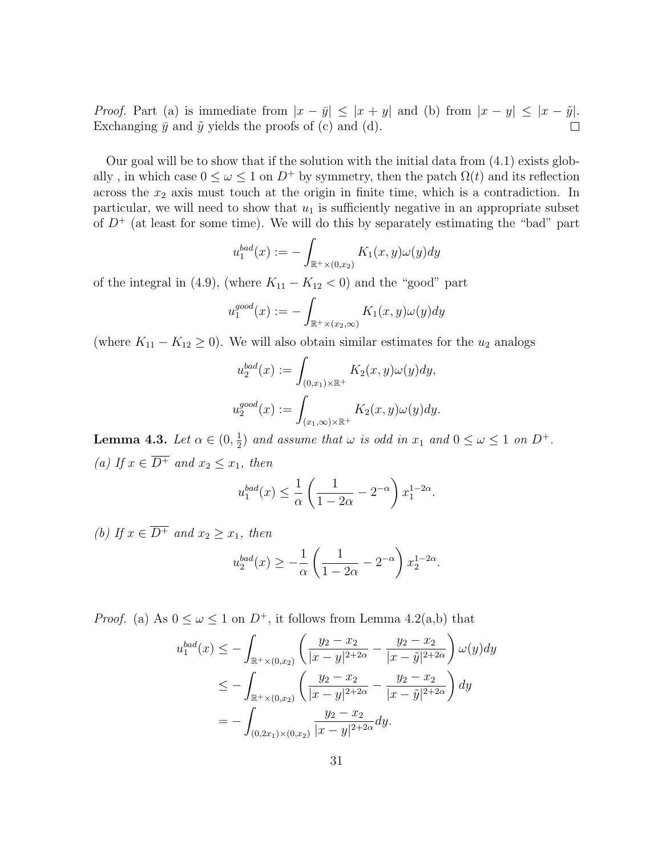*Proof.* Part (a) is immediate from  $|x - \bar{y}| \le |x + y|$  and (b) from  $|x - y| \le |x - \tilde{y}|$ .<br>Exchanging  $\bar{y}$  and  $\tilde{y}$  yields the proofs of (c) and (d). Exchanging  $\bar{y}$  and  $\tilde{y}$  yields the proofs of (c) and (d).

Our goal will be to show that if the solution with the initial data from (4.1) exists globally, in which case  $0 \leq \omega \leq 1$  on  $D^+$  by symmetry, then the patch  $\Omega(t)$  and its reflection across the  $x_2$  axis must touch at the origin in finite time, which is a contradiction. In particular, we will need to show that  $u_1$  is sufficiently negative in an appropriate subset of  $D^+$  (at least for some time). We will do this by separately estimating the "bad" part

$$
u_1^{bad}(x) := -\int_{\mathbb{R}^+\times(0,x_2)} K_1(x,y)\omega(y)dy
$$

of the integral in (4.9), (where  $K_{11} - K_{12} < 0$ ) and the "good" part

$$
u_1^{good}(x) := -\int_{\mathbb{R}^+ \times (x_2,\infty)} K_1(x,y)\omega(y)dy
$$

(where  $K_{11} - K_{12} \geq 0$ ). We will also obtain similar estimates for the  $u_2$  analogs

$$
u_2^{bad}(x) := \int_{(0,x_1)\times\mathbb{R}^+} K_2(x,y)\omega(y)dy,
$$
  

$$
u_2^{good}(x) := \int_{(x_1,\infty)\times\mathbb{R}^+} K_2(x,y)\omega(y)dy.
$$

Lemma 4.3. Let  $\alpha \in (0, \frac{1}{2})$  $\frac{1}{2}$ ) and assume that  $\omega$  is odd in  $x_1$  and  $0 \le \omega \le 1$  on  $D^+$ . (a) If  $x \in \overline{D^+}$  and  $x_2 \leq x_1$ , then

$$
u_1^{bad}(x) \le \frac{1}{\alpha} \left( \frac{1}{1 - 2\alpha} - 2^{-\alpha} \right) x_1^{1 - 2\alpha}.
$$

(b) If  $x \in \overline{D^+}$  and  $x_2 \ge x_1$ , then

$$
u_2^{bad}(x) \ge -\frac{1}{\alpha} \left( \frac{1}{1-2\alpha} - 2^{-\alpha} \right) x_2^{1-2\alpha}.
$$

*Proof.* (a) As  $0 \leq \omega \leq 1$  on  $D^+$ , it follows from Lemma 4.2(a,b) that

$$
u_1^{bad}(x) \le -\int_{\mathbb{R}^+\times(0,x_2)} \left( \frac{y_2 - x_2}{|x - y|^{2+2\alpha}} - \frac{y_2 - x_2}{|x - \tilde{y}|^{2+2\alpha}} \right) \omega(y) dy
$$
  
\n
$$
\le -\int_{\mathbb{R}^+\times(0,x_2)} \left( \frac{y_2 - x_2}{|x - y|^{2+2\alpha}} - \frac{y_2 - x_2}{|x - \tilde{y}|^{2+2\alpha}} \right) dy
$$
  
\n
$$
= -\int_{(0,2x_1)\times(0,x_2)} \frac{y_2 - x_2}{|x - y|^{2+2\alpha}} dy.
$$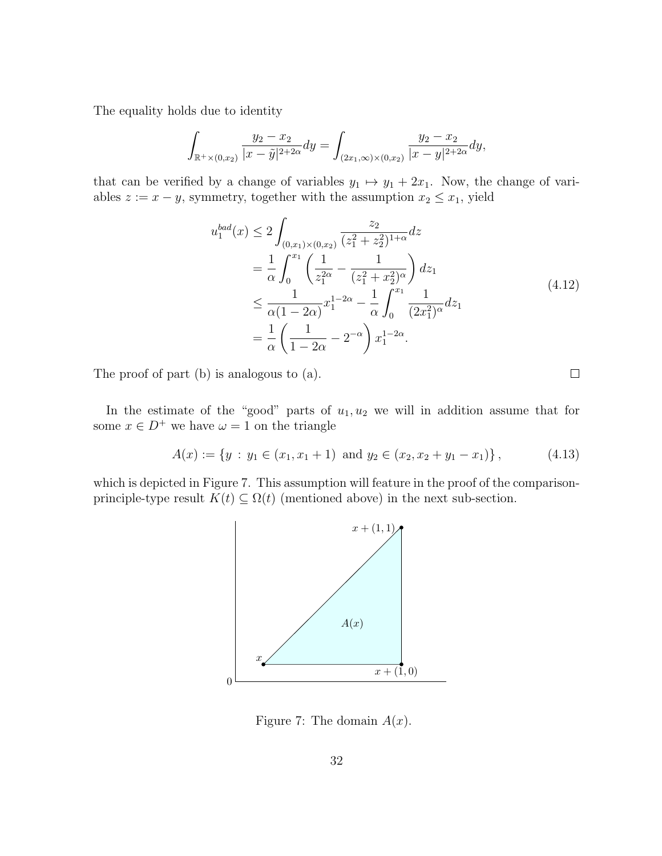The equality holds due to identity

$$
\int_{\mathbb{R}^+\times(0,x_2)}\frac{y_2-x_2}{|x-\tilde{y}|^{2+2\alpha}}dy = \int_{(2x_1,\infty)\times(0,x_2)}\frac{y_2-x_2}{|x-y|^{2+2\alpha}}dy,
$$

that can be verified by a change of variables  $y_1 \mapsto y_1 + 2x_1$ . Now, the change of variables  $z := x - y$ , symmetry, together with the assumption  $x_2 \leq x_1$ , yield

$$
u_1^{bad}(x) \le 2 \int_{(0,x_1)\times(0,x_2)} \frac{z_2}{(z_1^2 + z_2^2)^{1+\alpha}} dz
$$
  
\n
$$
= \frac{1}{\alpha} \int_0^{x_1} \left( \frac{1}{z_1^{2\alpha}} - \frac{1}{(z_1^2 + z_2^2)^{\alpha}} \right) dz_1
$$
  
\n
$$
\le \frac{1}{\alpha (1 - 2\alpha)} x_1^{1 - 2\alpha} - \frac{1}{\alpha} \int_0^{x_1} \frac{1}{(2x_1^2)^{\alpha}} dz_1
$$
  
\n
$$
= \frac{1}{\alpha} \left( \frac{1}{1 - 2\alpha} - 2^{-\alpha} \right) x_1^{1 - 2\alpha}.
$$
\n(4.12)

The proof of part (b) is analogous to (a).

In the estimate of the "good" parts of  $u_1, u_2$  we will in addition assume that for some  $x \in D^+$  we have  $\omega = 1$  on the triangle

$$
A(x) := \{ y : y_1 \in (x_1, x_1 + 1) \text{ and } y_2 \in (x_2, x_2 + y_1 - x_1) \},
$$
\n(4.13)

which is depicted in Figure 7. This assumption will feature in the proof of the comparisonprinciple-type result  $K(t) \subseteq \Omega(t)$  (mentioned above) in the next sub-section.



Figure 7: The domain  $A(x)$ .

 $\Box$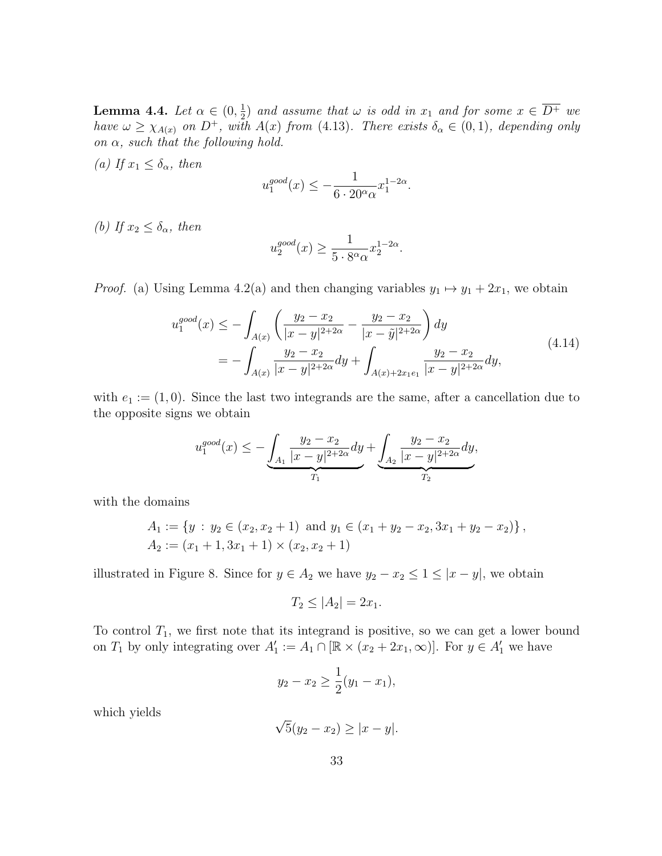**Lemma 4.4.** Let  $\alpha \in (0, \frac{1}{2})$  $\frac{1}{2}$  and assume that  $\omega$  is odd in  $x_1$  and for some  $x \in \overline{D^+}$  we have  $\omega \geq \chi_{A(x)}$  on  $D^+$ , with  $A(x)$  from (4.13). There exists  $\delta_{\alpha} \in (0,1)$ , depending only on  $\alpha$ , such that the following hold.

(a) If  $x_1 \leq \delta_\alpha$ , then

$$
u_1^{good}(x) \le -\frac{1}{6 \cdot 20^{\alpha} \alpha} x_1^{1-2\alpha}.
$$

(b) If  $x_2 \leq \delta_\alpha$ , then

$$
u_2^{good}(x) \ge \frac{1}{5 \cdot 8^{\alpha} \alpha} x_2^{1-2\alpha}.
$$

*Proof.* (a) Using Lemma 4.2(a) and then changing variables  $y_1 \mapsto y_1 + 2x_1$ , we obtain

$$
u_1^{good}(x) \le -\int_{A(x)} \left( \frac{y_2 - x_2}{|x - y|^{2 + 2\alpha}} - \frac{y_2 - x_2}{|x - \tilde{y}|^{2 + 2\alpha}} \right) dy
$$
  
= 
$$
-\int_{A(x)} \frac{y_2 - x_2}{|x - y|^{2 + 2\alpha}} dy + \int_{A(x) + 2x_1 e_1} \frac{y_2 - x_2}{|x - y|^{2 + 2\alpha}} dy,
$$
(4.14)

with  $e_1 := (1, 0)$ . Since the last two integrands are the same, after a cancellation due to the opposite signs we obtain

$$
u_1^{good}(x) \le -\underbrace{\int_{A_1} \frac{y_2 - x_2}{|x - y|^{2 + 2\alpha}} dy}_{T_1} + \underbrace{\int_{A_2} \frac{y_2 - x_2}{|x - y|^{2 + 2\alpha}} dy}_{T_2},
$$

with the domains

$$
A_1 := \{ y : y_2 \in (x_2, x_2 + 1) \text{ and } y_1 \in (x_1 + y_2 - x_2, 3x_1 + y_2 - x_2) \},
$$
  

$$
A_2 := (x_1 + 1, 3x_1 + 1) \times (x_2, x_2 + 1)
$$

illustrated in Figure 8. Since for  $y \in A_2$  we have  $y_2 - x_2 \leq 1 \leq |x - y|$ , we obtain

$$
T_2 \le |A_2| = 2x_1.
$$

To control  $T_1$ , we first note that its integrand is positive, so we can get a lower bound on  $T_1$  by only integrating over  $A'_1 := A_1 \cap [\mathbb{R} \times (x_2 + 2x_1, \infty)]$ . For  $y \in A'_1$  we have

$$
y_2 - x_2 \ge \frac{1}{2}(y_1 - x_1),
$$

which yields

$$
\sqrt{5}(y_2 - x_2) \ge |x - y|.
$$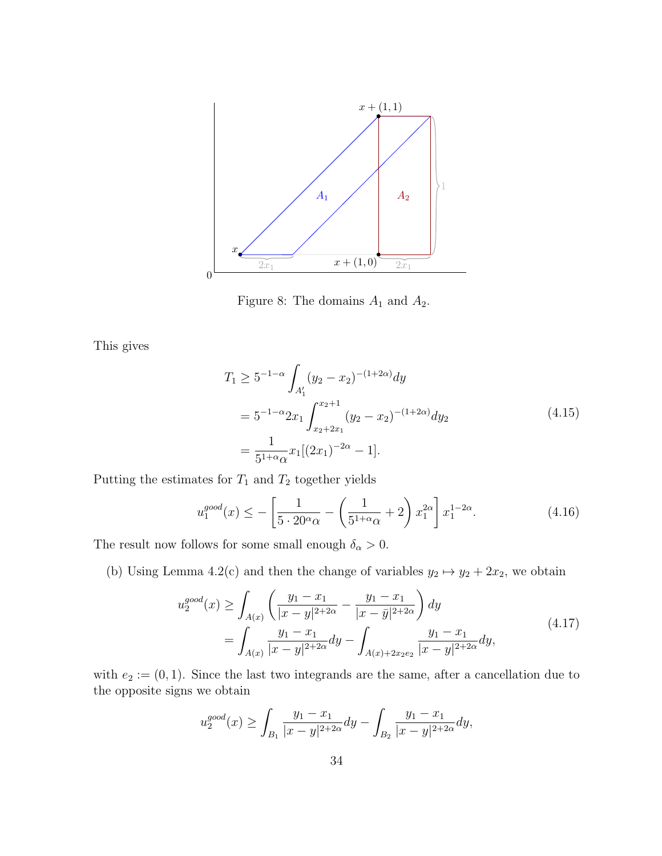

Figure 8: The domains  $A_1$  and  $A_2$ .

This gives

$$
T_1 \ge 5^{-1-\alpha} \int_{A'_1} (y_2 - x_2)^{-(1+2\alpha)} dy
$$
  
=  $5^{-1-\alpha} 2x_1 \int_{x_2+2x_1}^{x_2+1} (y_2 - x_2)^{-(1+2\alpha)} dy_2$  (4.15)  
=  $\frac{1}{5^{1+\alpha} \alpha} x_1 [(2x_1)^{-2\alpha} - 1].$ 

Putting the estimates for  $T_1$  and  $T_2$  together yields

$$
u_1^{good}(x) \le -\left[\frac{1}{5 \cdot 20^{\alpha} \alpha} - \left(\frac{1}{5^{1+\alpha} \alpha} + 2\right) x_1^{2\alpha}\right] x_1^{1-2\alpha}.\tag{4.16}
$$

The result now follows for some small enough  $\delta_{\alpha} > 0$ .

(b) Using Lemma 4.2(c) and then the change of variables  $y_2 \mapsto y_2 + 2x_2$ , we obtain

$$
u_2^{good}(x) \ge \int_{A(x)} \left( \frac{y_1 - x_1}{|x - y|^{2 + 2\alpha}} - \frac{y_1 - x_1}{|x - \bar{y}|^{2 + 2\alpha}} \right) dy
$$
  
= 
$$
\int_{A(x)} \frac{y_1 - x_1}{|x - y|^{2 + 2\alpha}} dy - \int_{A(x) + 2x_2 e_2} \frac{y_1 - x_1}{|x - y|^{2 + 2\alpha}} dy,
$$
 (4.17)

with  $e_2 := (0, 1)$ . Since the last two integrands are the same, after a cancellation due to the opposite signs we obtain

$$
u_2^{good}(x) \ge \int_{B_1} \frac{y_1 - x_1}{|x - y|^{2 + 2\alpha}} dy - \int_{B_2} \frac{y_1 - x_1}{|x - y|^{2 + 2\alpha}} dy,
$$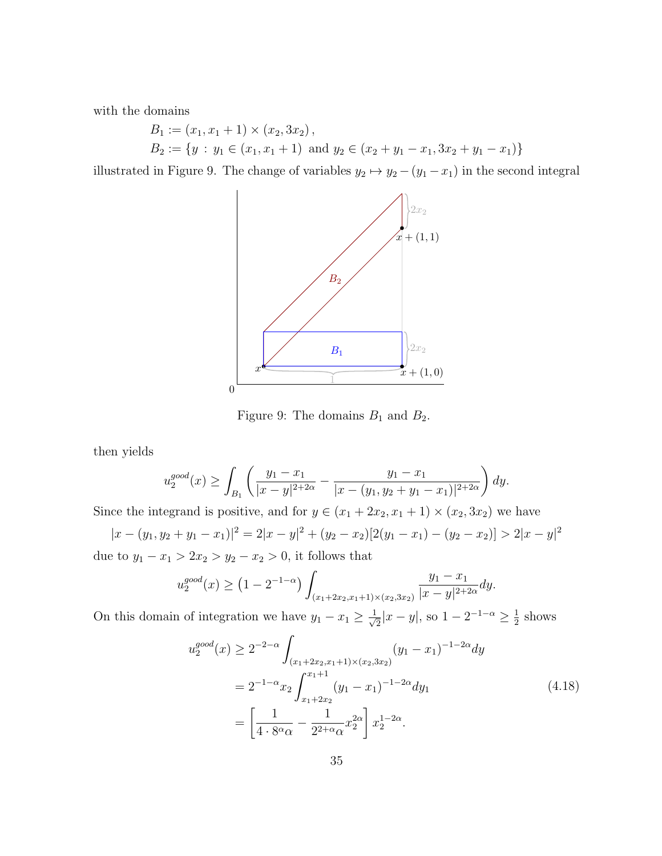with the domains

$$
B_1 := (x_1, x_1 + 1) \times (x_2, 3x_2),
$$
  
\n
$$
B_2 := \{ y : y_1 \in (x_1, x_1 + 1) \text{ and } y_2 \in (x_2 + y_1 - x_1, 3x_2 + y_1 - x_1) \}
$$

illustrated in Figure 9. The change of variables  $y_2 \mapsto y_2 - (y_1 - x_1)$  in the second integral



Figure 9: The domains  $B_1$  and  $B_2$ .

then yields

$$
u_2^{good}(x) \ge \int_{B_1} \left( \frac{y_1 - x_1}{|x - y|^{2 + 2\alpha}} - \frac{y_1 - x_1}{|x - (y_1, y_2 + y_1 - x_1)|^{2 + 2\alpha}} \right) dy.
$$

Since the integrand is positive, and for  $y \in (x_1 + 2x_2, x_1 + 1) \times (x_2, 3x_2)$  we have  $|x - (y_1, y_2 + y_1 - x_1)|^2 = 2|x - y|^2 + (y_2 - x_2)[2(y_1 - x_1) - (y_2 - x_2)] > 2|x - y|^2$ 

due to  $y_1 - x_1 > 2x_2 > y_2 - x_2 > 0$ , it follows that

$$
u_2^{good}(x) \ge (1 - 2^{-1-\alpha}) \int_{(x_1 + 2x_2, x_1 + 1) \times (x_2, 3x_2)} \frac{y_1 - x_1}{|x - y|^{2+2\alpha}} dy.
$$

On this domain of integration we have  $y_1 - x_1 \geq \frac{1}{\sqrt{2}}$  $\frac{1}{2}|x-y|$ , so  $1-2^{-1-\alpha} \ge \frac{1}{2}$  $\frac{1}{2}$  shows

$$
u_2^{good}(x) \ge 2^{-2-\alpha} \int_{(x_1+2x_2, x_1+1)\times(x_2, 3x_2)} (y_1 - x_1)^{-1-2\alpha} dy
$$
  
=  $2^{-1-\alpha} x_2 \int_{x_1+2x_2}^{x_1+1} (y_1 - x_1)^{-1-2\alpha} dy_1$   
=  $\left[ \frac{1}{4 \cdot 8^{\alpha} \alpha} - \frac{1}{2^{2+\alpha} \alpha} x_2^{2\alpha} \right] x_2^{1-2\alpha}.$  (4.18)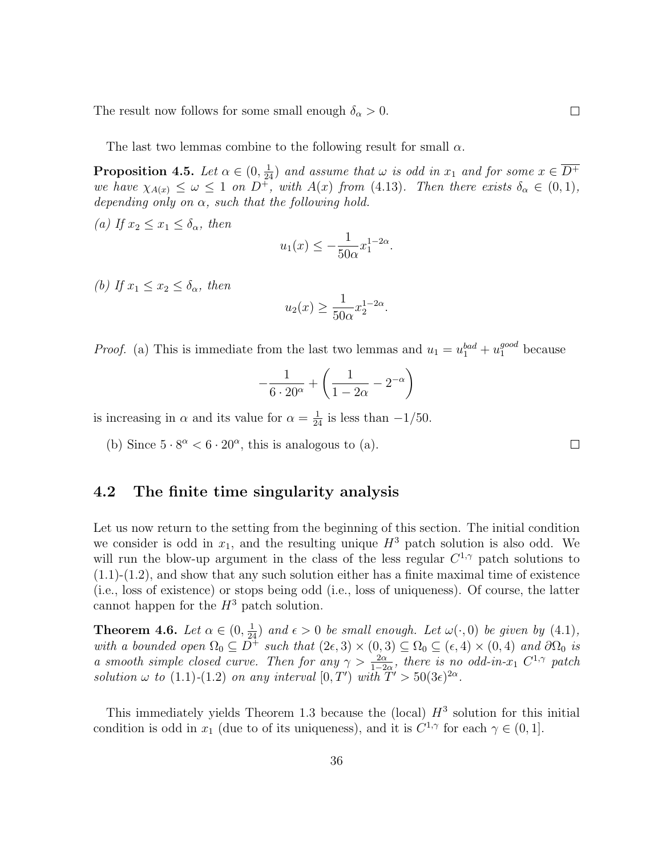The result now follows for some small enough  $\delta_{\alpha} > 0$ .

The last two lemmas combine to the following result for small  $\alpha$ .

**Proposition 4.5.** Let  $\alpha \in (0, \frac{1}{24})$  and assume that  $\omega$  is odd in  $x_1$  and for some  $x \in \overline{D^+}$ we have  $\chi_{A(x)} \leq \omega \leq 1$  on  $D^+$ , with  $A(x)$  from (4.13). Then there exists  $\delta_{\alpha} \in (0,1)$ , depending only on  $\alpha$ , such that the following hold.

(a) If  $x_2 \leq x_1 \leq \delta_\alpha$ , then

$$
u_1(x) \le -\frac{1}{50\alpha}x_1^{1-2\alpha}.
$$

(b) If  $x_1 \leq x_2 \leq \delta_{\alpha}$ , then

$$
u_2(x) \ge \frac{1}{50\alpha} x_2^{1-2\alpha}.
$$

*Proof.* (a) This is immediate from the last two lemmas and  $u_1 = u_1^{bad} + u_1^{good}$  because

$$
-\frac{1}{6\cdot 20^{\alpha}} + \left(\frac{1}{1-2\alpha} - 2^{-\alpha}\right)
$$

is increasing in  $\alpha$  and its value for  $\alpha = \frac{1}{24}$  is less than  $-1/50$ .

(b) Since  $5 \cdot 8^{\alpha} < 6 \cdot 20^{\alpha}$ , this is analogous to (a).

### 4.2 The finite time singularity analysis

Let us now return to the setting from the beginning of this section. The initial condition we consider is odd in  $x_1$ , and the resulting unique  $H^3$  patch solution is also odd. We will run the blow-up argument in the class of the less regular  $C^{1,\gamma}$  patch solutions to  $(1.1)-(1.2)$ , and show that any such solution either has a finite maximal time of existence (i.e., loss of existence) or stops being odd (i.e., loss of uniqueness). Of course, the latter cannot happen for the  $H^3$  patch solution.

**Theorem 4.6.** Let  $\alpha \in (0, \frac{1}{24})$  and  $\epsilon > 0$  be small enough. Let  $\omega(\cdot, 0)$  be given by (4.1), with a bounded open  $\Omega_0 \subseteq \overline{D^+}$  such that  $(2\epsilon,3) \times (0,3) \subseteq \Omega_0 \subseteq (\epsilon,4) \times (0,4)$  and  $\partial \Omega_0$  is a smooth simple closed curve. Then for any  $\gamma > \frac{2\alpha}{1-2\alpha}$ , there is no odd-in- $x_1$   $C^{1,\gamma}$  patch solution  $\omega$  to (1.1)-(1.2) on any interval  $[0, T')$  with  $T' > 50(3\epsilon)^{2\alpha}$ .

This immediately yields Theorem 1.3 because the (local)  $H^3$  solution for this initial condition is odd in  $x_1$  (due to of its uniqueness), and it is  $C^{1,\gamma}$  for each  $\gamma \in (0,1]$ .

 $\Box$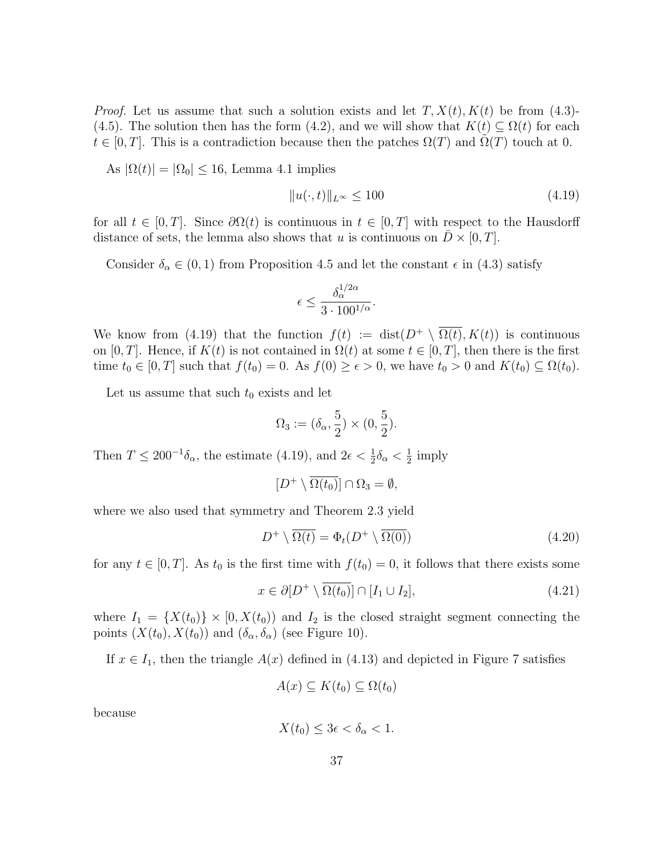*Proof.* Let us assume that such a solution exists and let  $T, X(t), K(t)$  be from (4.3)-(4.5). The solution then has the form (4.2), and we will show that  $K(t) \subseteq \Omega(t)$  for each  $t \in [0, T]$ . This is a contradiction because then the patches  $\Omega(T)$  and  $\Omega(T)$  touch at 0.

As  $|\Omega(t)| = |\Omega_0| \le 16$ , Lemma 4.1 implies

$$
||u(\cdot,t)||_{L^{\infty}} \le 100 \tag{4.19}
$$

for all  $t \in [0, T]$ . Since  $\partial \Omega(t)$  is continuous in  $t \in [0, T]$  with respect to the Hausdorff distance of sets, the lemma also shows that u is continuous on  $\bar{D} \times [0, T]$ .

Consider  $\delta_{\alpha} \in (0, 1)$  from Proposition 4.5 and let the constant  $\epsilon$  in (4.3) satisfy

$$
\epsilon \le \frac{\delta_\alpha^{1/2\alpha}}{3 \cdot 100^{1/\alpha}}.
$$

We know from (4.19) that the function  $f(t) := \text{dist}(D^+ \setminus \overline{\Omega(t)}, K(t))$  is continuous on [0, T]. Hence, if  $K(t)$  is not contained in  $\Omega(t)$  at some  $t \in [0, T]$ , then there is the first time  $t_0 \in [0, T]$  such that  $f(t_0) = 0$ . As  $f(0) \ge \epsilon > 0$ , we have  $t_0 > 0$  and  $K(t_0) \subseteq \Omega(t_0)$ .

Let us assume that such  $t_0$  exists and let

$$
\Omega_3 := (\delta_\alpha, \frac{5}{2}) \times (0, \frac{5}{2}).
$$

Then  $T \leq 200^{-1} \delta_{\alpha}$ , the estimate (4.19), and  $2\epsilon < \frac{1}{2} \delta_{\alpha} < \frac{1}{2}$  $rac{1}{2}$  imply

$$
[D^+\setminus \overline{\Omega(t_0)}] \cap \Omega_3 = \emptyset,
$$

where we also used that symmetry and Theorem 2.3 yield

$$
D^{+} \setminus \overline{\Omega(t)} = \Phi_{t}(D^{+} \setminus \overline{\Omega(0)}) \tag{4.20}
$$

for any  $t \in [0, T]$ . As  $t_0$  is the first time with  $f(t_0) = 0$ , it follows that there exists some

$$
x \in \partial [D^+ \setminus \overline{\Omega(t_0)}] \cap [I_1 \cup I_2], \tag{4.21}
$$

where  $I_1 = \{X(t_0)\}\times [0, X(t_0))$  and  $I_2$  is the closed straight segment connecting the points  $(X(t_0), X(t_0))$  and  $(\delta_\alpha, \delta_\alpha)$  (see Figure 10).

If  $x \in I_1$ , then the triangle  $A(x)$  defined in (4.13) and depicted in Figure 7 satisfies

$$
A(x) \subseteq K(t_0) \subseteq \Omega(t_0)
$$

because

$$
X(t_0) \le 3\epsilon < \delta_\alpha < 1.
$$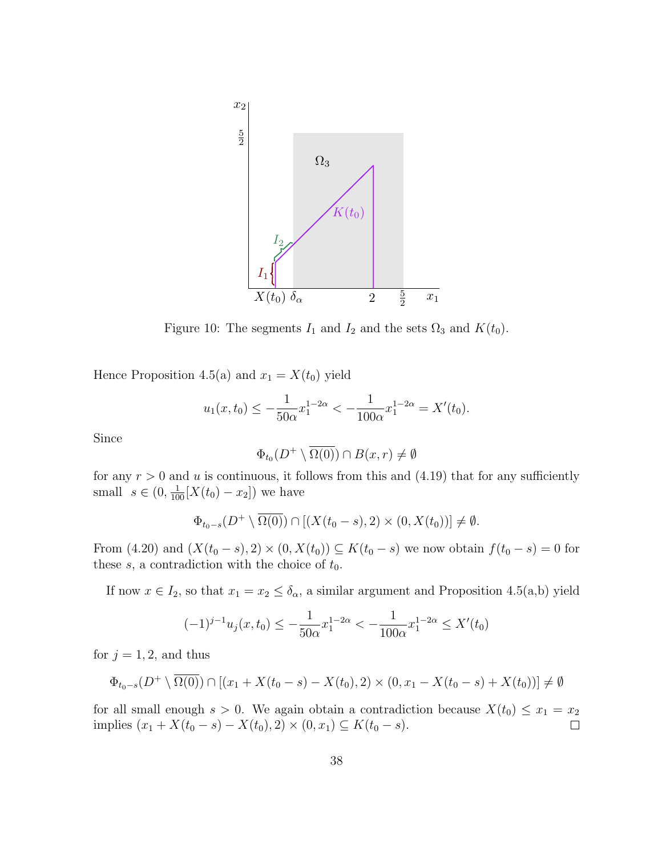

Figure 10: The segments  $I_1$  and  $I_2$  and the sets  $\Omega_3$  and  $K(t_0)$ .

Hence Proposition 4.5(a) and  $x_1 = X(t_0)$  yield

$$
u_1(x, t_0) \le -\frac{1}{50\alpha} x_1^{1-2\alpha} < -\frac{1}{100\alpha} x_1^{1-2\alpha} = X'(t_0).
$$

Since

$$
\Phi_{t_0}(D^+\setminus\overline{\Omega(0)})\cap B(x,r)\neq\emptyset
$$

for any  $r > 0$  and u is continuous, it follows from this and (4.19) that for any sufficiently small  $s \in (0, \frac{1}{100}[X(t_0) - x_2])$  we have

$$
\Phi_{t_0-s}(D^+\setminus\overline{\Omega(0)})\cap[(X(t_0-s),2)\times(0,X(t_0))]\neq\emptyset.
$$

From (4.20) and  $(X(t_0 - s), 2) \times (0, X(t_0)) \subseteq K(t_0 - s)$  we now obtain  $f(t_0 - s) = 0$  for these  $s$ , a contradiction with the choice of  $t_0$ .

If now  $x \in I_2$ , so that  $x_1 = x_2 \le \delta_\alpha$ , a similar argument and Proposition 4.5(a,b) yield

$$
(-1)^{j-1}u_j(x,t_0) \le -\frac{1}{50\alpha}x_1^{1-2\alpha} < -\frac{1}{100\alpha}x_1^{1-2\alpha} \le X'(t_0)
$$

for  $j = 1, 2$ , and thus

$$
\Phi_{t_0-s}(D^+\setminus\overline{\Omega(0)})\cap[(x_1+X(t_0-s)-X(t_0),2)\times(0,x_1-X(t_0-s)+X(t_0))]\neq\emptyset
$$

for all small enough  $s > 0$ . We again obtain a contradiction because  $X(t_0) \le x_1 = x_2$ <br>implies  $(x_1 + X(t_0 - s) - X(t_0), 2) \times (0, x_1) \subset K(t_0 - s)$ . implies  $(x_1 + X(t_0 - s) - X(t_0), 2) \times (0, x_1) \subseteq K(t_0 - s)$ .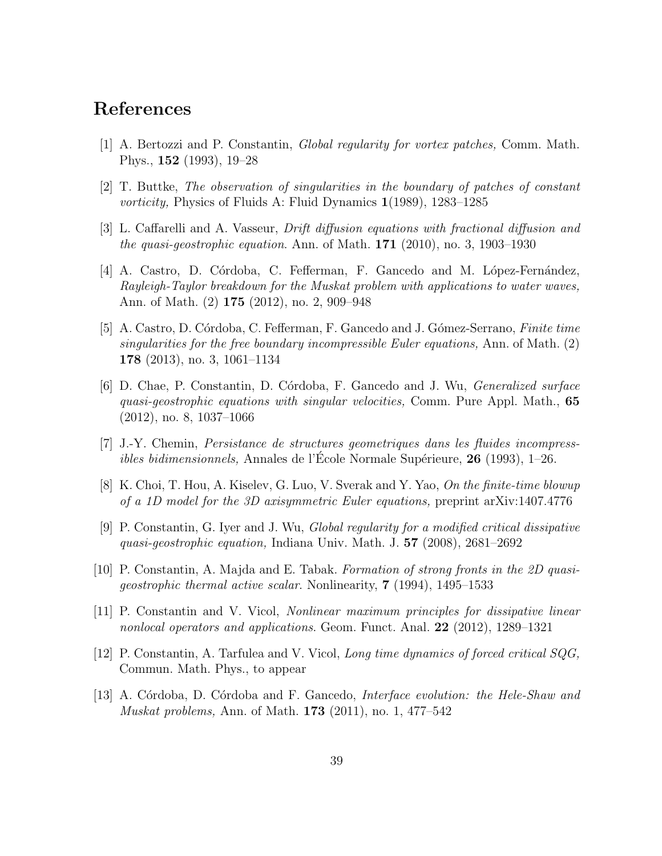# References

- [1] A. Bertozzi and P. Constantin, Global regularity for vortex patches, Comm. Math. Phys., 152 (1993), 19–28
- [2] T. Buttke, The observation of singularities in the boundary of patches of constant vorticity, Physics of Fluids A: Fluid Dynamics 1(1989), 1283–1285
- [3] L. Caffarelli and A. Vasseur, Drift diffusion equations with fractional diffusion and the quasi-geostrophic equation. Ann. of Math.  $171$  (2010), no. 3, 1903–1930
- [4] A. Castro, D. Córdoba, C. Fefferman, F. Gancedo and M. López-Fernández, Rayleigh-Taylor breakdown for the Muskat problem with applications to water waves, Ann. of Math. (2) 175 (2012), no. 2, 909–948
- [5] A. Castro, D. Córdoba, C. Fefferman, F. Gancedo and J. Gómez-Serrano, Finite time singularities for the free boundary incompressible Euler equations, Ann. of Math. (2) 178 (2013), no. 3, 1061–1134
- [6] D. Chae, P. Constantin, D. Córdoba, F. Gancedo and J. Wu, *Generalized surface* quasi-geostrophic equations with singular velocities, Comm. Pure Appl. Math., 65 (2012), no. 8, 1037–1066
- [7] J.-Y. Chemin, Persistance de structures geometriques dans les fluides incompress*ibles bidimensionnels*, Annales de l'Ecole Normale Supérieure,  $26$  (1993), 1–26.
- [8] K. Choi, T. Hou, A. Kiselev, G. Luo, V. Sverak and Y. Yao, On the finite-time blowup of a 1D model for the 3D axisymmetric Euler equations, preprint arXiv:1407.4776
- [9] P. Constantin, G. Iyer and J. Wu, Global regularity for a modified critical dissipative quasi-geostrophic equation, Indiana Univ. Math. J. 57 (2008), 2681–2692
- [10] P. Constantin, A. Majda and E. Tabak. Formation of strong fronts in the 2D quasigeostrophic thermal active scalar. Nonlinearity, 7 (1994), 1495–1533
- [11] P. Constantin and V. Vicol, Nonlinear maximum principles for dissipative linear nonlocal operators and applications. Geom. Funct. Anal. 22 (2012), 1289–1321
- [12] P. Constantin, A. Tarfulea and V. Vicol, Long time dynamics of forced critical SQG, Commun. Math. Phys., to appear
- [13] A. Córdoba, D. Córdoba and F. Gancedo, *Interface evolution: the Hele-Shaw and* Muskat problems, Ann. of Math. 173 (2011), no. 1, 477–542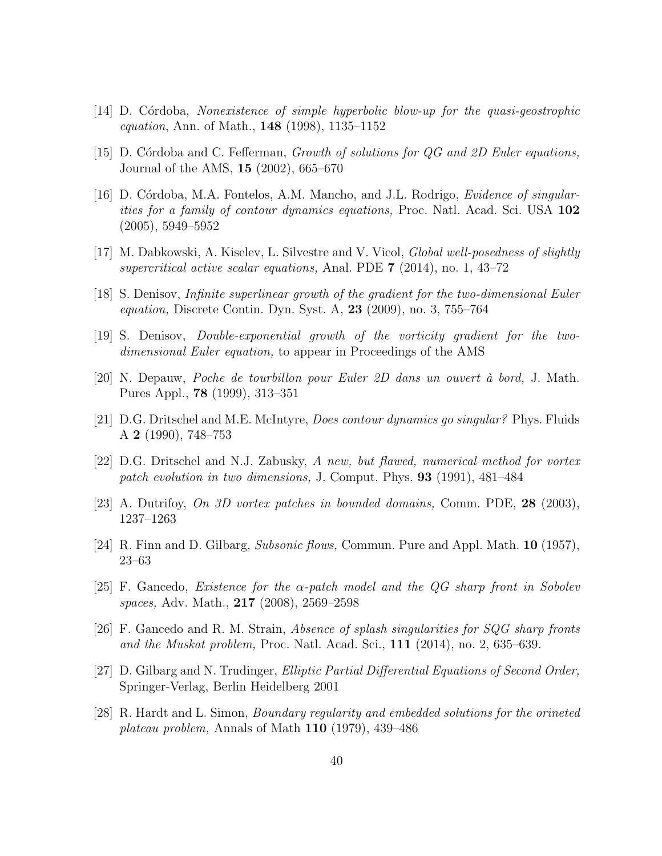- $[14]$  D. Cordoba, Nonexistence of simple hyperbolic blow-up for the quasi-geostrophic equation, Ann. of Math., 148 (1998), 1135–1152
- [15] D. Córdoba and C. Fefferman, *Growth of solutions for QG and 2D Euler equations*, Journal of the AMS, 15 (2002), 665–670
- [16] D. Córdoba, M.A. Fontelos, A.M. Mancho, and J.L. Rodrigo, *Evidence of singular*ities for a family of contour dynamics equations, Proc. Natl. Acad. Sci. USA 102 (2005), 5949–5952
- [17] M. Dabkowski, A. Kiselev, L. Silvestre and V. Vicol, Global well-posedness of slightly supercritical active scalar equations, Anal. PDE 7 (2014), no. 1, 43–72
- [18] S. Denisov, Infinite superlinear growth of the gradient for the two-dimensional Euler equation, Discrete Contin. Dyn. Syst. A, 23 (2009), no. 3, 755–764
- [19] S. Denisov, Double-exponential growth of the vorticity gradient for the twodimensional Euler equation, to appear in Proceedings of the AMS
- [20] N. Depauw, Poche de tourbillon pour Euler 2D dans un ouvert `a bord, J. Math. Pures Appl., 78 (1999), 313–351
- [21] D.G. Dritschel and M.E. McIntyre, Does contour dynamics go singular? Phys. Fluids A 2 (1990), 748–753
- [22] D.G. Dritschel and N.J. Zabusky, A new, but flawed, numerical method for vortex patch evolution in two dimensions, J. Comput. Phys. 93 (1991), 481–484
- [23] A. Dutrifoy, On 3D vortex patches in bounded domains, Comm. PDE, 28 (2003), 1237–1263
- [24] R. Finn and D. Gilbarg, Subsonic flows, Commun. Pure and Appl. Math. 10 (1957), 23–63
- [25] F. Gancedo, *Existence for the*  $\alpha$ *-patch model and the QG sharp front in Sobolev* spaces, Adv. Math., 217 (2008), 2569–2598
- [26] F. Gancedo and R. M. Strain, Absence of splash singularities for SQG sharp fronts and the Muskat problem, Proc. Natl. Acad. Sci., 111 (2014), no. 2, 635–639.
- [27] D. Gilbarg and N. Trudinger, Elliptic Partial Differential Equations of Second Order, Springer-Verlag, Berlin Heidelberg 2001
- [28] R. Hardt and L. Simon, Boundary regularity and embedded solutions for the orineted plateau problem, Annals of Math  $110$  (1979), 439–486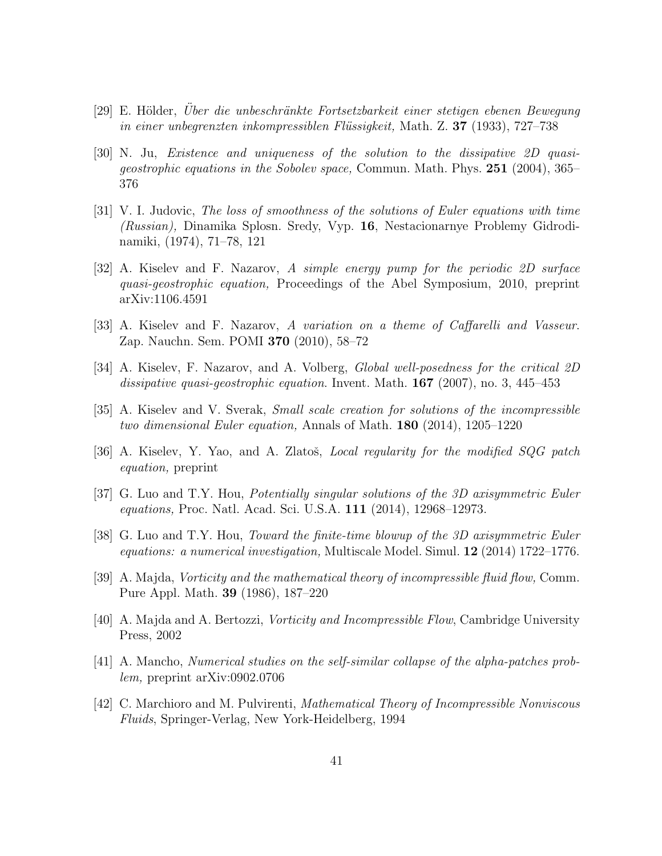- [29] E. Hölder, Über die unbeschränkte Fortsetzbarkeit einer stetigen ebenen Bewegung in einer unbegrenzten inkompressiblen Flüssigkeit, Math. Z. 37 (1933), 727–738
- [30] N. Ju, Existence and uniqueness of the solution to the dissipative 2D quasigeostrophic equations in the Sobolev space, Commun. Math. Phys. 251 (2004), 365– 376
- [31] V. I. Judovic, The loss of smoothness of the solutions of Euler equations with time (Russian), Dinamika Splosn. Sredy, Vyp. 16, Nestacionarnye Problemy Gidrodinamiki, (1974), 71–78, 121
- [32] A. Kiselev and F. Nazarov, A simple energy pump for the periodic 2D surface quasi-geostrophic equation, Proceedings of the Abel Symposium, 2010, preprint arXiv:1106.4591
- [33] A. Kiselev and F. Nazarov, A variation on a theme of Caffarelli and Vasseur. Zap. Nauchn. Sem. POMI 370 (2010), 58–72
- [34] A. Kiselev, F. Nazarov, and A. Volberg, Global well-posedness for the critical 2D dissipative quasi-geostrophic equation. Invent. Math. **167** (2007), no. 3, 445–453
- [35] A. Kiselev and V. Sverak, Small scale creation for solutions of the incompressible two dimensional Euler equation, Annals of Math. 180 (2014), 1205–1220
- [36] A. Kiselev, Y. Yao, and A. Zlatoš, *Local regularity for the modified SQG patch* equation, preprint
- [37] G. Luo and T.Y. Hou, Potentially singular solutions of the 3D axisymmetric Euler equations, Proc. Natl. Acad. Sci. U.S.A. 111 (2014), 12968–12973.
- [38] G. Luo and T.Y. Hou, Toward the finite-time blowup of the 3D axisymmetric Euler equations: a numerical investigation, Multiscale Model. Simul. 12 (2014) 1722–1776.
- [39] A. Majda, Vorticity and the mathematical theory of incompressible fluid flow, Comm. Pure Appl. Math. 39 (1986), 187–220
- [40] A. Majda and A. Bertozzi, Vorticity and Incompressible Flow, Cambridge University Press, 2002
- [41] A. Mancho, Numerical studies on the self-similar collapse of the alpha-patches problem, preprint arXiv:0902.0706
- [42] C. Marchioro and M. Pulvirenti, Mathematical Theory of Incompressible Nonviscous Fluids, Springer-Verlag, New York-Heidelberg, 1994